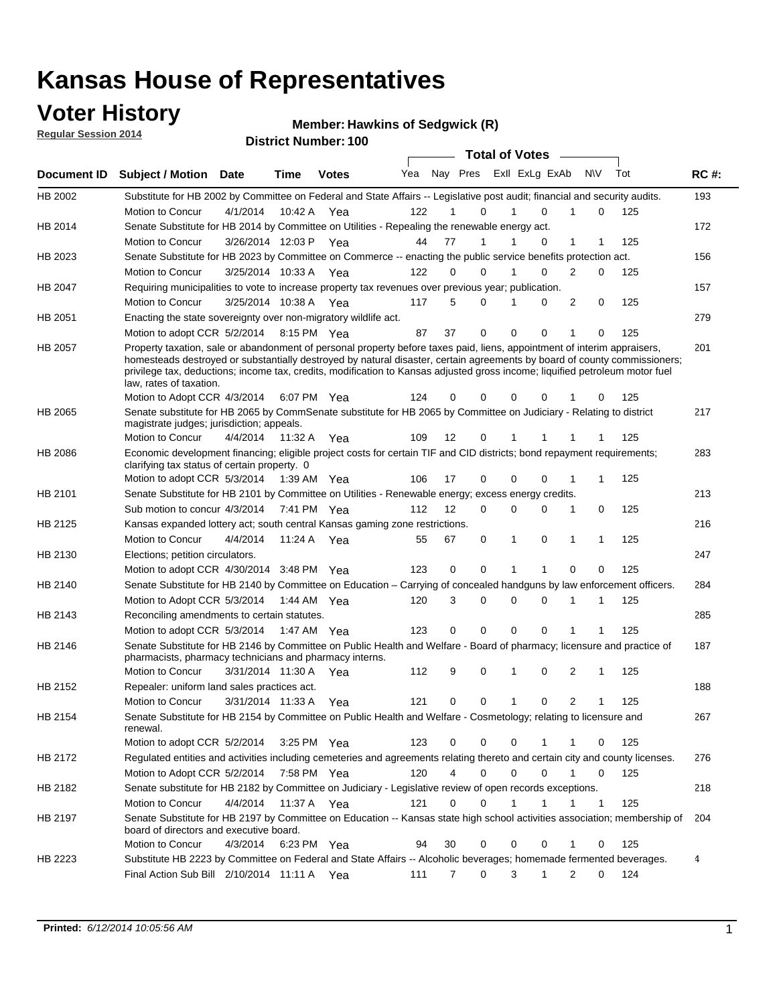### **Voter History**

**Regular Session 2014**

#### **Hawkins of Sedgwick (R)**

|             |                                                                                                                                                                                                                                                                                                                                                                                                                  |                       |             | DISTRICT MAILINGL. TOO | <b>Total of Votes</b> |    |                  |  |             |                |                             |     |     |             |
|-------------|------------------------------------------------------------------------------------------------------------------------------------------------------------------------------------------------------------------------------------------------------------------------------------------------------------------------------------------------------------------------------------------------------------------|-----------------------|-------------|------------------------|-----------------------|----|------------------|--|-------------|----------------|-----------------------------|-----|-----|-------------|
| Document ID | <b>Subject / Motion</b>                                                                                                                                                                                                                                                                                                                                                                                          | <b>Date</b>           | Time        | <b>Votes</b>           | Yea                   |    | Nay Pres         |  |             | Exll ExLg ExAb | <b>NV</b>                   | Tot |     | <b>RC#:</b> |
| HB 2002     | Substitute for HB 2002 by Committee on Federal and State Affairs -- Legislative post audit; financial and security audits.                                                                                                                                                                                                                                                                                       |                       |             |                        |                       |    |                  |  |             |                |                             |     |     | 193         |
|             | Motion to Concur                                                                                                                                                                                                                                                                                                                                                                                                 | 4/1/2014              |             | 10:42 A Yea            | 122                   |    | $\Omega$         |  |             | $\Omega$       | 0                           |     | 125 |             |
| HB 2014     | Senate Substitute for HB 2014 by Committee on Utilities - Repealing the renewable energy act.                                                                                                                                                                                                                                                                                                                    |                       |             |                        |                       |    |                  |  |             |                |                             |     |     | 172         |
|             | Motion to Concur                                                                                                                                                                                                                                                                                                                                                                                                 | 3/26/2014 12:03 P Yea |             |                        | 44                    | 77 | 1                |  |             | 0              | 1                           |     | 125 |             |
| HB 2023     | Senate Substitute for HB 2023 by Committee on Commerce -- enacting the public service benefits protection act.                                                                                                                                                                                                                                                                                                   |                       |             |                        |                       |    |                  |  |             |                |                             |     |     | 156         |
|             | Motion to Concur                                                                                                                                                                                                                                                                                                                                                                                                 | 3/25/2014 10:33 A Yea |             |                        | 122                   |    | 0<br>0           |  | 1           | 0              | 2<br>0                      |     | 125 |             |
| HB 2047     | Requiring municipalities to vote to increase property tax revenues over previous year; publication.                                                                                                                                                                                                                                                                                                              |                       |             |                        |                       |    |                  |  |             |                |                             |     |     | 157         |
|             | Motion to Concur                                                                                                                                                                                                                                                                                                                                                                                                 | 3/25/2014 10:38 A     |             | Yea                    | 117                   |    | 5<br>0           |  |             | 0              | 2<br>0                      |     | 125 |             |
| HB 2051     | Enacting the state sovereignty over non-migratory wildlife act.                                                                                                                                                                                                                                                                                                                                                  |                       |             |                        |                       |    |                  |  |             |                |                             |     |     | 279         |
|             | Motion to adopt CCR 5/2/2014                                                                                                                                                                                                                                                                                                                                                                                     |                       | 8:15 PM Yea |                        | 87                    | 37 | 0                |  | $\Omega$    | $\Omega$       | 1<br>0                      |     | 125 |             |
| HB 2057     | Property taxation, sale or abandonment of personal property before taxes paid, liens, appointment of interim appraisers,<br>homesteads destroyed or substantially destroyed by natural disaster, certain agreements by board of county commissioners;<br>privilege tax, deductions; income tax, credits, modification to Kansas adjusted gross income; liquified petroleum motor fuel<br>law, rates of taxation. |                       |             |                        | 124                   |    | 0<br>0           |  | $\Omega$    | 0              | 0                           |     | 125 | 201         |
|             | Motion to Adopt CCR 4/3/2014                                                                                                                                                                                                                                                                                                                                                                                     |                       |             | 6:07 PM Yea            |                       |    |                  |  |             |                |                             |     |     |             |
| HB 2065     | Senate substitute for HB 2065 by CommSenate substitute for HB 2065 by Committee on Judiciary - Relating to district<br>magistrate judges; jurisdiction; appeals.                                                                                                                                                                                                                                                 |                       |             |                        |                       |    |                  |  |             |                |                             |     |     | 217         |
|             | Motion to Concur                                                                                                                                                                                                                                                                                                                                                                                                 | 4/4/2014 11:32 A Yea  |             |                        | 109                   | 12 | 0                |  | 1           | 1              |                             |     | 125 |             |
| HB 2086     | Economic development financing; eligible project costs for certain TIF and CID districts; bond repayment requirements;<br>clarifying tax status of certain property. 0                                                                                                                                                                                                                                           |                       |             |                        |                       |    |                  |  |             |                |                             |     |     | 283         |
|             | Motion to adopt CCR 5/3/2014                                                                                                                                                                                                                                                                                                                                                                                     |                       | 1:39 AM Yea |                        | 106                   | 17 | 0                |  | $\Omega$    | $\Omega$       | 1                           |     | 125 |             |
| HB 2101     | Senate Substitute for HB 2101 by Committee on Utilities - Renewable energy; excess energy credits.                                                                                                                                                                                                                                                                                                               |                       |             |                        |                       |    |                  |  |             |                |                             |     |     | 213         |
|             | Sub motion to concur 4/3/2014                                                                                                                                                                                                                                                                                                                                                                                    |                       |             | 7:41 PM Yea            | 112                   | 12 | 0                |  | $\mathbf 0$ | $\Omega$       | 1<br>0                      |     | 125 |             |
| HB 2125     | Kansas expanded lottery act; south central Kansas gaming zone restrictions.                                                                                                                                                                                                                                                                                                                                      |                       |             |                        |                       |    |                  |  |             |                |                             |     |     | 216         |
|             | Motion to Concur                                                                                                                                                                                                                                                                                                                                                                                                 | 4/4/2014              | 11:24 A     | Yea                    | 55                    | 67 | 0                |  | 1           | $\mathbf 0$    | 1<br>1                      |     | 125 |             |
| HB 2130     | Elections; petition circulators.                                                                                                                                                                                                                                                                                                                                                                                 |                       |             |                        |                       |    |                  |  |             |                |                             |     |     | 247         |
|             | Motion to adopt CCR 4/30/2014 3:48 PM Yea                                                                                                                                                                                                                                                                                                                                                                        |                       |             |                        | 123                   |    | 0<br>0           |  | 1           |                | 0<br>0                      |     | 125 |             |
| HB 2140     | Senate Substitute for HB 2140 by Committee on Education – Carrying of concealed handguns by law enforcement officers.                                                                                                                                                                                                                                                                                            |                       |             |                        |                       |    |                  |  |             |                |                             |     |     | 284         |
|             | Motion to Adopt CCR 5/3/2014                                                                                                                                                                                                                                                                                                                                                                                     |                       |             | 1:44 AM Yea            | 120                   |    | 3<br>0           |  | $\mathbf 0$ | $\mathbf 0$    | 1<br>1                      |     | 125 |             |
| HB 2143     | Reconciling amendments to certain statutes.                                                                                                                                                                                                                                                                                                                                                                      |                       |             |                        |                       |    |                  |  |             |                |                             |     |     | 285         |
|             | Motion to adopt CCR 5/3/2014                                                                                                                                                                                                                                                                                                                                                                                     |                       | 1:47 AM Yea |                        | 123                   |    | 0<br>0           |  | $\mathbf 0$ | $\mathbf 0$    | 1                           |     | 125 |             |
| HB 2146     | Senate Substitute for HB 2146 by Committee on Public Health and Welfare - Board of pharmacy; licensure and practice of<br>pharmacists, pharmacy technicians and pharmacy interns.                                                                                                                                                                                                                                |                       |             |                        |                       |    |                  |  |             |                |                             |     |     | 187         |
|             | Motion to Concur                                                                                                                                                                                                                                                                                                                                                                                                 | 3/31/2014 11:30 A     |             | Yea                    | 112                   |    | 9<br>0           |  | 1           | $\mathbf 0$    | 2<br>1                      |     | 125 |             |
| HB 2152     | Repealer: uniform land sales practices act.                                                                                                                                                                                                                                                                                                                                                                      |                       |             |                        |                       |    |                  |  |             |                |                             |     |     | 188         |
|             | <b>Motion to Concur</b>                                                                                                                                                                                                                                                                                                                                                                                          | 3/31/2014 11:33 A     |             | Yea                    | 121                   |    | 0<br>0           |  | 1           | 0              | 2<br>1                      |     | 125 |             |
| HB 2154     | Senate Substitute for HB 2154 by Committee on Public Health and Welfare - Cosmetology; relating to licensure and<br>renewal.                                                                                                                                                                                                                                                                                     |                       |             |                        |                       |    |                  |  |             |                |                             |     |     | 267         |
|             | Motion to adopt CCR 5/2/2014 3:25 PM Yea                                                                                                                                                                                                                                                                                                                                                                         |                       |             |                        | 123                   |    | 0<br>0           |  | $\mathbf 0$ |                | 0                           |     | 125 |             |
| HB 2172     | Regulated entities and activities including cemeteries and agreements relating thereto and certain city and county licenses.                                                                                                                                                                                                                                                                                     |                       |             |                        |                       |    |                  |  |             |                |                             |     |     | 276         |
|             | Motion to Adopt CCR 5/2/2014                                                                                                                                                                                                                                                                                                                                                                                     |                       | 7:58 PM Yea |                        | 120                   |    | 4<br>$\mathbf 0$ |  | $\mathbf 0$ | $\Omega$       | $\mathbf{1}$<br>$\mathbf 0$ |     | 125 |             |
| HB 2182     | Senate substitute for HB 2182 by Committee on Judiciary - Legislative review of open records exceptions.                                                                                                                                                                                                                                                                                                         |                       |             |                        |                       |    |                  |  |             |                |                             |     |     | 218         |
|             | Motion to Concur                                                                                                                                                                                                                                                                                                                                                                                                 | 4/4/2014 11:37 A Yea  |             |                        | 121                   |    | $\mathbf 0$<br>0 |  | 1           | 1              | 1<br>1                      |     | 125 |             |
| HB 2197     | Senate Substitute for HB 2197 by Committee on Education -- Kansas state high school activities association; membership of<br>board of directors and executive board.                                                                                                                                                                                                                                             |                       |             |                        |                       |    |                  |  |             |                |                             |     |     | 204         |
|             | Motion to Concur                                                                                                                                                                                                                                                                                                                                                                                                 | 4/3/2014              |             | 6:23 PM Yea            | 94                    | 30 | 0                |  | 0           | 0              | 0<br>1                      |     | 125 |             |
| HB 2223     | Substitute HB 2223 by Committee on Federal and State Affairs -- Alcoholic beverages; homemade fermented beverages.                                                                                                                                                                                                                                                                                               |                       |             |                        |                       |    |                  |  |             |                |                             |     |     | 4           |
|             | Final Action Sub Bill 2/10/2014 11:11 A Yea                                                                                                                                                                                                                                                                                                                                                                      |                       |             |                        | 111                   |    | 0<br>7           |  | 3           | 1              | 2<br>0                      |     | 124 |             |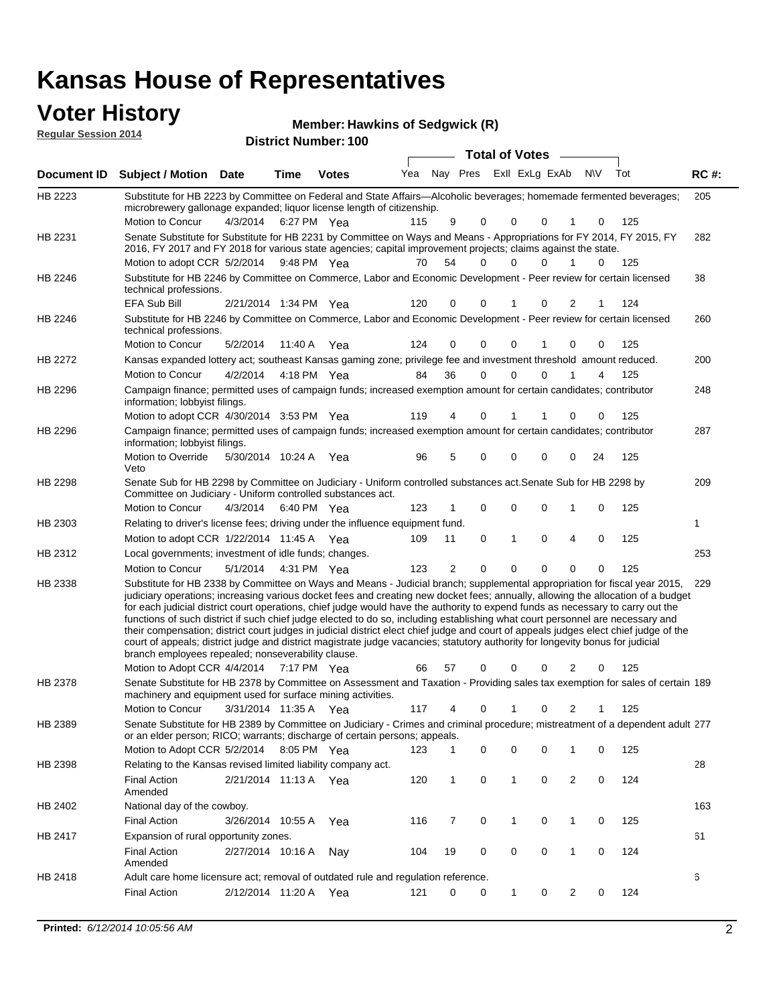### **Voter History**

**Regular Session 2014**

**Hawkins of Sedgwick (R)**

| negurur ocssion zo i≒ |                                                                                                                                                                                                                                                                                                                                                                                                                                                                                                                                                                                                                                                                                                                                                                                                                                                                                                                 |                       |             | <b>District Number: 100</b> |     |                |                         |              |             |              |                    |             |
|-----------------------|-----------------------------------------------------------------------------------------------------------------------------------------------------------------------------------------------------------------------------------------------------------------------------------------------------------------------------------------------------------------------------------------------------------------------------------------------------------------------------------------------------------------------------------------------------------------------------------------------------------------------------------------------------------------------------------------------------------------------------------------------------------------------------------------------------------------------------------------------------------------------------------------------------------------|-----------------------|-------------|-----------------------------|-----|----------------|-------------------------|--------------|-------------|--------------|--------------------|-------------|
|                       |                                                                                                                                                                                                                                                                                                                                                                                                                                                                                                                                                                                                                                                                                                                                                                                                                                                                                                                 |                       |             |                             |     |                | <b>Total of Votes</b>   |              |             |              |                    |             |
| <b>Document ID</b>    | <b>Subject / Motion Date</b>                                                                                                                                                                                                                                                                                                                                                                                                                                                                                                                                                                                                                                                                                                                                                                                                                                                                                    |                       | <b>Time</b> | <b>Votes</b>                | Yea |                | Nay Pres Exll ExLg ExAb |              |             | <b>N\V</b>   | Tot                | <b>RC#:</b> |
| HB 2223               | Substitute for HB 2223 by Committee on Federal and State Affairs—Alcoholic beverages; homemade fermented beverages;<br>microbrewery gallonage expanded; liquor license length of citizenship.                                                                                                                                                                                                                                                                                                                                                                                                                                                                                                                                                                                                                                                                                                                   |                       |             |                             |     |                |                         |              |             |              |                    | 205         |
|                       | Motion to Concur                                                                                                                                                                                                                                                                                                                                                                                                                                                                                                                                                                                                                                                                                                                                                                                                                                                                                                | 4/3/2014 6:27 PM Yea  |             |                             | 115 | 9              | 0                       | 0            | 0           |              | 125<br>0           |             |
| HB 2231               | Senate Substitute for Substitute for HB 2231 by Committee on Ways and Means - Appropriations for FY 2014, FY 2015, FY<br>2016, FY 2017 and FY 2018 for various state agencies; capital improvement projects; claims against the state.                                                                                                                                                                                                                                                                                                                                                                                                                                                                                                                                                                                                                                                                          |                       |             |                             |     |                |                         |              |             |              |                    | 282         |
|                       | Motion to adopt CCR 5/2/2014 9:48 PM Yea                                                                                                                                                                                                                                                                                                                                                                                                                                                                                                                                                                                                                                                                                                                                                                                                                                                                        |                       |             |                             | 70  | 54             | $\Omega$                | $\Omega$     | 0           | 1            | 125<br>0           |             |
| <b>HB 2246</b>        | Substitute for HB 2246 by Committee on Commerce, Labor and Economic Development - Peer review for certain licensed<br>technical professions.                                                                                                                                                                                                                                                                                                                                                                                                                                                                                                                                                                                                                                                                                                                                                                    |                       |             |                             |     |                |                         |              |             |              |                    | 38          |
|                       | EFA Sub Bill                                                                                                                                                                                                                                                                                                                                                                                                                                                                                                                                                                                                                                                                                                                                                                                                                                                                                                    | 2/21/2014 1:34 PM Yea |             |                             | 120 | 0              | $\Omega$                |              | 0           | 2            | 124                |             |
| HB 2246               | Substitute for HB 2246 by Committee on Commerce, Labor and Economic Development - Peer review for certain licensed<br>technical professions.                                                                                                                                                                                                                                                                                                                                                                                                                                                                                                                                                                                                                                                                                                                                                                    |                       |             |                             |     |                |                         |              |             |              |                    | 260         |
|                       | Motion to Concur                                                                                                                                                                                                                                                                                                                                                                                                                                                                                                                                                                                                                                                                                                                                                                                                                                                                                                | 5/2/2014              |             | 11:40 A Yea                 | 124 | 0              | 0                       | $\mathbf 0$  |             | 0            | 125<br>0           |             |
| HB 2272               | Kansas expanded lottery act; southeast Kansas gaming zone; privilege fee and investment threshold amount reduced.                                                                                                                                                                                                                                                                                                                                                                                                                                                                                                                                                                                                                                                                                                                                                                                               |                       |             |                             |     |                |                         |              |             |              |                    | 200         |
|                       | <b>Motion to Concur</b>                                                                                                                                                                                                                                                                                                                                                                                                                                                                                                                                                                                                                                                                                                                                                                                                                                                                                         | 4/2/2014              |             | 4:18 PM Yea                 | 84  | 36             | 0                       | $\Omega$     | 0           |              | 125<br>4           |             |
| HB 2296               | Campaign finance; permitted uses of campaign funds; increased exemption amount for certain candidates; contributor<br>information; lobbyist filings.                                                                                                                                                                                                                                                                                                                                                                                                                                                                                                                                                                                                                                                                                                                                                            |                       |             |                             |     |                |                         |              |             |              |                    | 248         |
|                       | Motion to adopt CCR 4/30/2014 3:53 PM Yea                                                                                                                                                                                                                                                                                                                                                                                                                                                                                                                                                                                                                                                                                                                                                                                                                                                                       |                       |             |                             | 119 | 4              | 0                       | 1            |             | 0            | 125<br>0           |             |
| HB 2296               | Campaign finance; permitted uses of campaign funds; increased exemption amount for certain candidates; contributor<br>information; lobbyist filings.                                                                                                                                                                                                                                                                                                                                                                                                                                                                                                                                                                                                                                                                                                                                                            |                       |             |                             |     |                |                         |              |             |              |                    | 287         |
|                       | Motion to Override<br>Veto                                                                                                                                                                                                                                                                                                                                                                                                                                                                                                                                                                                                                                                                                                                                                                                                                                                                                      | 5/30/2014 10:24 A Yea |             |                             | 96  | 5              | 0                       | $\mathbf 0$  | $\mathbf 0$ | 24<br>0      | 125                |             |
| HB 2298               | Senate Sub for HB 2298 by Committee on Judiciary - Uniform controlled substances act. Senate Sub for HB 2298 by<br>Committee on Judiciary - Uniform controlled substances act.                                                                                                                                                                                                                                                                                                                                                                                                                                                                                                                                                                                                                                                                                                                                  |                       |             |                             |     |                |                         |              |             |              |                    | 209         |
|                       | Motion to Concur                                                                                                                                                                                                                                                                                                                                                                                                                                                                                                                                                                                                                                                                                                                                                                                                                                                                                                | 4/3/2014              |             | 6:40 PM Yea                 | 123 |                | 0                       | $\mathbf 0$  | $\Omega$    |              | $\mathbf 0$<br>125 |             |
| HB 2303               | Relating to driver's license fees; driving under the influence equipment fund.                                                                                                                                                                                                                                                                                                                                                                                                                                                                                                                                                                                                                                                                                                                                                                                                                                  |                       |             |                             |     |                |                         |              |             |              |                    | 1           |
|                       | Motion to adopt CCR 1/22/2014 11:45 A Yea                                                                                                                                                                                                                                                                                                                                                                                                                                                                                                                                                                                                                                                                                                                                                                                                                                                                       |                       |             |                             | 109 | 11             | 0                       | 1            | $\Omega$    | 4            | $\mathbf 0$<br>125 |             |
| HB 2312               | Local governments; investment of idle funds; changes.                                                                                                                                                                                                                                                                                                                                                                                                                                                                                                                                                                                                                                                                                                                                                                                                                                                           |                       |             |                             |     |                |                         |              |             |              |                    | 253         |
|                       | Motion to Concur                                                                                                                                                                                                                                                                                                                                                                                                                                                                                                                                                                                                                                                                                                                                                                                                                                                                                                | 5/1/2014              |             | 4:31 PM Yea                 | 123 | $\overline{2}$ | $\Omega$                | $\Omega$     | $\Omega$    | 0            | 125<br>$\Omega$    |             |
| HB 2338               | Substitute for HB 2338 by Committee on Ways and Means - Judicial branch; supplemental appropriation for fiscal year 2015,<br>judiciary operations; increasing various docket fees and creating new docket fees; annually, allowing the allocation of a budget<br>for each judicial district court operations, chief judge would have the authority to expend funds as necessary to carry out the<br>functions of such district if such chief judge elected to do so, including establishing what court personnel are necessary and<br>their compensation; district court judges in judicial district elect chief judge and court of appeals judges elect chief judge of the<br>court of appeals; district judge and district magistrate judge vacancies; statutory authority for longevity bonus for judicial<br>branch employees repealed; nonseverability clause.<br>Motion to Adopt CCR 4/4/2014 7:17 PM Yea |                       |             |                             | 66  | 57             | 0                       | $\Omega$     | 0           | 2            | 125<br>0           | 229         |
| HB 2378               | Senate Substitute for HB 2378 by Committee on Assessment and Taxation - Providing sales tax exemption for sales of certain 189                                                                                                                                                                                                                                                                                                                                                                                                                                                                                                                                                                                                                                                                                                                                                                                  |                       |             |                             |     |                |                         |              |             |              |                    |             |
|                       | machinery and equipment used for surface mining activities.                                                                                                                                                                                                                                                                                                                                                                                                                                                                                                                                                                                                                                                                                                                                                                                                                                                     |                       |             |                             |     |                |                         |              |             |              |                    |             |
|                       | Motion to Concur                                                                                                                                                                                                                                                                                                                                                                                                                                                                                                                                                                                                                                                                                                                                                                                                                                                                                                | 3/31/2014 11:35 A     |             | Yea                         | 117 | 4              | 0                       | 1            | 0           | 2            | 125                |             |
| HB 2389               | Senate Substitute for HB 2389 by Committee on Judiciary - Crimes and criminal procedure; mistreatment of a dependent adult 277                                                                                                                                                                                                                                                                                                                                                                                                                                                                                                                                                                                                                                                                                                                                                                                  |                       |             |                             |     |                |                         |              |             |              |                    |             |
|                       | or an elder person; RICO; warrants; discharge of certain persons; appeals.                                                                                                                                                                                                                                                                                                                                                                                                                                                                                                                                                                                                                                                                                                                                                                                                                                      |                       |             |                             |     |                |                         |              |             |              |                    |             |
|                       | Motion to Adopt CCR 5/2/2014 8:05 PM Yea                                                                                                                                                                                                                                                                                                                                                                                                                                                                                                                                                                                                                                                                                                                                                                                                                                                                        |                       |             |                             | 123 |                | 0                       | 0            | 0           | 1            | 125<br>0           |             |
| HB 2398               | Relating to the Kansas revised limited liability company act.                                                                                                                                                                                                                                                                                                                                                                                                                                                                                                                                                                                                                                                                                                                                                                                                                                                   |                       |             |                             |     |                |                         |              |             |              |                    | 28          |
|                       | <b>Final Action</b><br>Amended                                                                                                                                                                                                                                                                                                                                                                                                                                                                                                                                                                                                                                                                                                                                                                                                                                                                                  | 2/21/2014 11:13 A Yea |             |                             | 120 | $\mathbf{1}$   | 0                       | 1            | 0           | 2            | 0<br>124           |             |
| HB 2402               | National day of the cowboy.                                                                                                                                                                                                                                                                                                                                                                                                                                                                                                                                                                                                                                                                                                                                                                                                                                                                                     |                       |             |                             |     |                |                         |              |             |              |                    | 163         |
|                       | <b>Final Action</b>                                                                                                                                                                                                                                                                                                                                                                                                                                                                                                                                                                                                                                                                                                                                                                                                                                                                                             | 3/26/2014 10:55 A     |             | Yea                         | 116 | 7              | 0                       | $\mathbf 1$  | 0           | $\mathbf{1}$ | 125<br>0           |             |
| HB 2417               | Expansion of rural opportunity zones.                                                                                                                                                                                                                                                                                                                                                                                                                                                                                                                                                                                                                                                                                                                                                                                                                                                                           |                       |             |                             |     |                |                         |              |             |              |                    | 61          |
|                       | <b>Final Action</b><br>Amended                                                                                                                                                                                                                                                                                                                                                                                                                                                                                                                                                                                                                                                                                                                                                                                                                                                                                  | 2/27/2014 10:16 A     |             | Nay                         | 104 | 19             | 0                       | 0            | 0           | 1            | 0<br>124           |             |
| HB 2418               | Adult care home licensure act; removal of outdated rule and regulation reference.                                                                                                                                                                                                                                                                                                                                                                                                                                                                                                                                                                                                                                                                                                                                                                                                                               |                       |             |                             |     |                |                         |              |             |              |                    | 6           |
|                       | <b>Final Action</b>                                                                                                                                                                                                                                                                                                                                                                                                                                                                                                                                                                                                                                                                                                                                                                                                                                                                                             | 2/12/2014 11:20 A     |             | Yea                         | 121 | 0              | 0                       | $\mathbf{1}$ | 0           | 2            | 124<br>0           |             |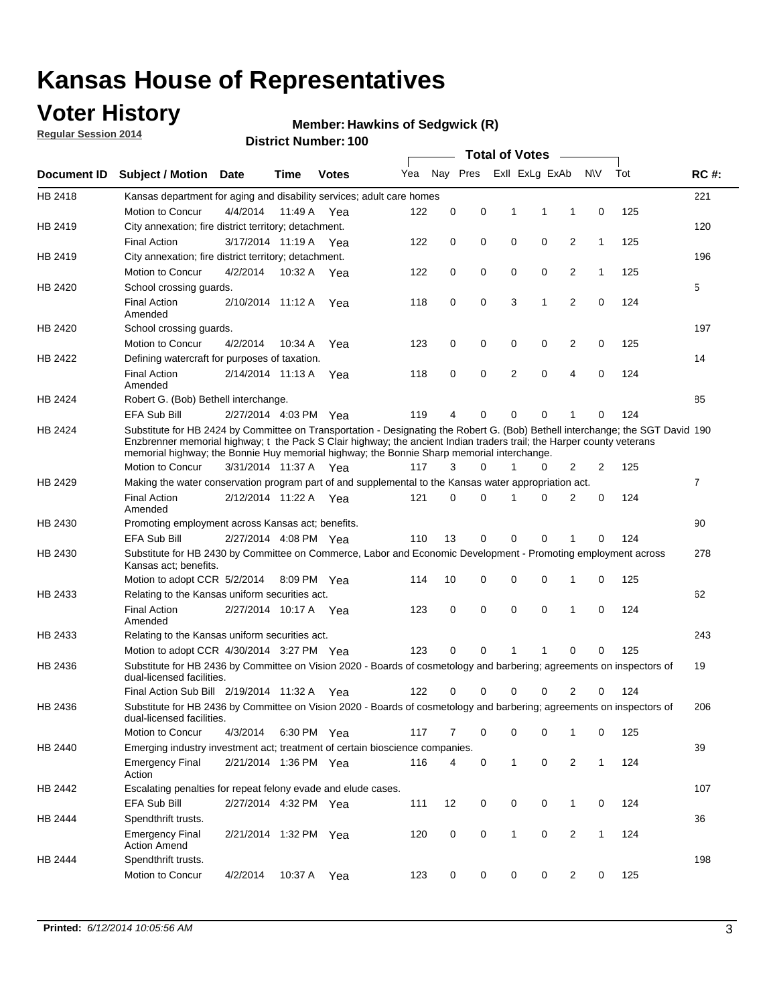### **Voter History**

**Regular Session 2014**

#### **Hawkins of Sedgwick (R)**

|             |                                                                                                                                                                                                                                                                                                                                                      |                       |             | DISTRICT MAILINGL. TOO | <b>Total of Votes</b> |          |          |  |                            |                |                |              |     |                |
|-------------|------------------------------------------------------------------------------------------------------------------------------------------------------------------------------------------------------------------------------------------------------------------------------------------------------------------------------------------------------|-----------------------|-------------|------------------------|-----------------------|----------|----------|--|----------------------------|----------------|----------------|--------------|-----|----------------|
| Document ID | <b>Subject / Motion</b>                                                                                                                                                                                                                                                                                                                              | Date                  | Time        | <b>Votes</b>           | Yea                   |          | Nay Pres |  | Exll ExLg ExAb             |                | N\V            |              | Tot | <b>RC#:</b>    |
| HB 2418     | Kansas department for aging and disability services; adult care homes                                                                                                                                                                                                                                                                                |                       |             |                        |                       |          |          |  |                            |                |                |              |     | 221            |
|             | <b>Motion to Concur</b>                                                                                                                                                                                                                                                                                                                              | 4/4/2014              | 11:49 A     | Yea                    | 122                   | 0        | 0        |  | 1<br>1                     | 1              |                | 0            | 125 |                |
| HB 2419     | City annexation; fire district territory; detachment.                                                                                                                                                                                                                                                                                                |                       |             |                        |                       |          |          |  |                            |                |                |              |     | 120            |
|             | <b>Final Action</b>                                                                                                                                                                                                                                                                                                                                  | 3/17/2014 11:19 A     |             | Yea                    | 122                   | 0        | 0        |  | 0<br>0                     | $\overline{2}$ |                | $\mathbf{1}$ | 125 |                |
| HB 2419     | City annexation; fire district territory; detachment.                                                                                                                                                                                                                                                                                                |                       |             |                        |                       |          |          |  |                            |                |                |              |     | 196            |
|             | Motion to Concur                                                                                                                                                                                                                                                                                                                                     | 4/2/2014              | 10:32 A     | Yea                    | 122                   | 0        | 0        |  | 0<br>0                     | $\overline{2}$ |                | 1            | 125 |                |
| HB 2420     | School crossing quards.                                                                                                                                                                                                                                                                                                                              |                       |             |                        |                       |          |          |  |                            |                |                |              |     | 5              |
|             | <b>Final Action</b><br>Amended                                                                                                                                                                                                                                                                                                                       | 2/10/2014 11:12 A     |             | Yea                    | 118                   | 0        | 0        |  | 3<br>1                     | $\overline{2}$ |                | 0            | 124 |                |
| HB 2420     | School crossing guards.                                                                                                                                                                                                                                                                                                                              |                       |             |                        |                       |          |          |  |                            |                |                |              |     | 197            |
|             | Motion to Concur                                                                                                                                                                                                                                                                                                                                     | 4/2/2014              | 10:34 A     | Yea                    | 123                   | 0        | 0        |  | 0<br>0                     | 2              |                | 0            | 125 |                |
| HB 2422     | Defining watercraft for purposes of taxation.                                                                                                                                                                                                                                                                                                        |                       |             |                        |                       |          |          |  |                            |                |                |              |     | 14             |
|             | <b>Final Action</b><br>Amended                                                                                                                                                                                                                                                                                                                       | 2/14/2014 11:13 A     |             | Yea                    | 118                   | 0        | 0        |  | 2<br>$\mathbf 0$           | $\overline{4}$ |                | 0            | 124 |                |
| HB 2424     | Robert G. (Bob) Bethell interchange.                                                                                                                                                                                                                                                                                                                 |                       |             |                        |                       |          |          |  |                            |                |                |              |     | 85             |
|             | EFA Sub Bill                                                                                                                                                                                                                                                                                                                                         | 2/27/2014 4:03 PM Yea |             |                        | 119                   | 4        | 0        |  | $\Omega$<br>$\Omega$       | 1              |                | 0            | 124 |                |
| HB 2424     | Substitute for HB 2424 by Committee on Transportation - Designating the Robert G. (Bob) Bethell interchange; the SGT David 190<br>Enzbrenner memorial highway; t the Pack S Clair highway; the ancient Indian traders trail; the Harper county veterans<br>memorial highway; the Bonnie Huy memorial highway; the Bonnie Sharp memorial interchange. |                       |             |                        |                       |          |          |  |                            |                |                |              |     |                |
|             | Motion to Concur                                                                                                                                                                                                                                                                                                                                     | 3/31/2014 11:37 A Yea |             |                        | 117                   | 3        | $\Omega$ |  | 1<br>0                     | $\overline{2}$ |                | 2            | 125 |                |
| HB 2429     | Making the water conservation program part of and supplemental to the Kansas water appropriation act.                                                                                                                                                                                                                                                |                       |             |                        |                       |          |          |  |                            |                |                |              |     | $\overline{7}$ |
|             | <b>Final Action</b><br>Amended                                                                                                                                                                                                                                                                                                                       | 2/12/2014 11:22 A Yea |             |                        | 121                   | $\Omega$ | $\Omega$ |  | 0<br>1                     | $\overline{2}$ |                | $\mathbf 0$  | 124 |                |
| HB 2430     | Promoting employment across Kansas act; benefits.                                                                                                                                                                                                                                                                                                    |                       |             |                        |                       |          |          |  |                            |                |                |              |     | 90             |
|             | <b>EFA Sub Bill</b>                                                                                                                                                                                                                                                                                                                                  | 2/27/2014 4:08 PM Yea |             |                        | 110                   | 13       | 0        |  | $\mathbf 0$<br>0           |                |                | 0            | 124 |                |
| HB 2430     | Substitute for HB 2430 by Committee on Commerce, Labor and Economic Development - Promoting employment across<br>Kansas act; benefits.                                                                                                                                                                                                               |                       |             |                        |                       |          |          |  |                            |                |                |              |     | 278            |
|             | Motion to adopt CCR 5/2/2014                                                                                                                                                                                                                                                                                                                         |                       | 8:09 PM Yea |                        | 114                   | 10       | 0        |  | 0<br>0                     | 1              |                | 0            | 125 |                |
| HB 2433     | Relating to the Kansas uniform securities act.                                                                                                                                                                                                                                                                                                       |                       |             |                        |                       |          |          |  |                            |                |                |              |     | 62             |
|             | <b>Final Action</b><br>Amended                                                                                                                                                                                                                                                                                                                       | 2/27/2014 10:17 A Yea |             |                        | 123                   | 0        | 0        |  | $\mathbf 0$<br>$\mathbf 0$ | 1              |                | 0            | 124 |                |
| HB 2433     | Relating to the Kansas uniform securities act.                                                                                                                                                                                                                                                                                                       |                       |             |                        |                       |          |          |  |                            |                |                |              |     | 243            |
|             | Motion to adopt CCR 4/30/2014 3:27 PM Yea                                                                                                                                                                                                                                                                                                            |                       |             |                        | 123                   | $\Omega$ | $\Omega$ |  | 1<br>1                     | $\Omega$       |                | 0            | 125 |                |
| HB 2436     | Substitute for HB 2436 by Committee on Vision 2020 - Boards of cosmetology and barbering; agreements on inspectors of<br>dual-licensed facilities.                                                                                                                                                                                                   |                       |             |                        |                       |          |          |  |                            |                |                |              |     | 19             |
|             | Final Action Sub Bill 2/19/2014 11:32 A                                                                                                                                                                                                                                                                                                              |                       |             | Yea                    | 122                   | ი        | 0        |  | 0<br>O                     | 2              |                | 0            | 124 |                |
| HB 2436     | Substitute for HB 2436 by Committee on Vision 2020 - Boards of cosmetology and barbering; agreements on inspectors of<br>dual-licensed facilities.                                                                                                                                                                                                   |                       |             |                        |                       |          |          |  |                            |                |                |              |     | 206            |
|             | Motion to Concur                                                                                                                                                                                                                                                                                                                                     | 4/3/2014              | 6:30 PM Yea |                        | 117                   | 7        | 0        |  | 0<br>0                     | 1              |                | 0            | 125 |                |
| HB 2440     | Emerging industry investment act; treatment of certain bioscience companies.                                                                                                                                                                                                                                                                         |                       |             |                        |                       |          |          |  |                            |                |                |              |     | 39             |
|             | <b>Emergency Final</b><br>Action                                                                                                                                                                                                                                                                                                                     | 2/21/2014 1:36 PM Yea |             |                        | 116                   | 4        | 0        |  | $\mathbf{1}$<br>0          | 2              |                | $\mathbf{1}$ | 124 |                |
| HB 2442     | Escalating penalties for repeat felony evade and elude cases.                                                                                                                                                                                                                                                                                        |                       |             |                        |                       |          |          |  |                            |                |                |              |     | 107            |
|             | EFA Sub Bill                                                                                                                                                                                                                                                                                                                                         | 2/27/2014 4:32 PM Yea |             |                        | 111                   | 12       | 0        |  | 0<br>0                     | $\mathbf{1}$   |                | 0            | 124 |                |
| HB 2444     | Spendthrift trusts.                                                                                                                                                                                                                                                                                                                                  |                       |             |                        |                       |          |          |  |                            |                |                |              |     | 36             |
|             | <b>Emergency Final</b><br><b>Action Amend</b>                                                                                                                                                                                                                                                                                                        | 2/21/2014 1:32 PM Yea |             |                        | 120                   | 0        | 0        |  | $\mathbf{1}$<br>0          | $\overline{2}$ |                | $\mathbf{1}$ | 124 |                |
| HB 2444     | Spendthrift trusts.                                                                                                                                                                                                                                                                                                                                  |                       |             |                        |                       |          |          |  |                            |                |                |              |     | 198            |
|             | Motion to Concur                                                                                                                                                                                                                                                                                                                                     | 4/2/2014              | 10:37 A     | Yea                    | 123                   | 0        | 0        |  | 0<br>0                     |                | $\overline{2}$ | 0            | 125 |                |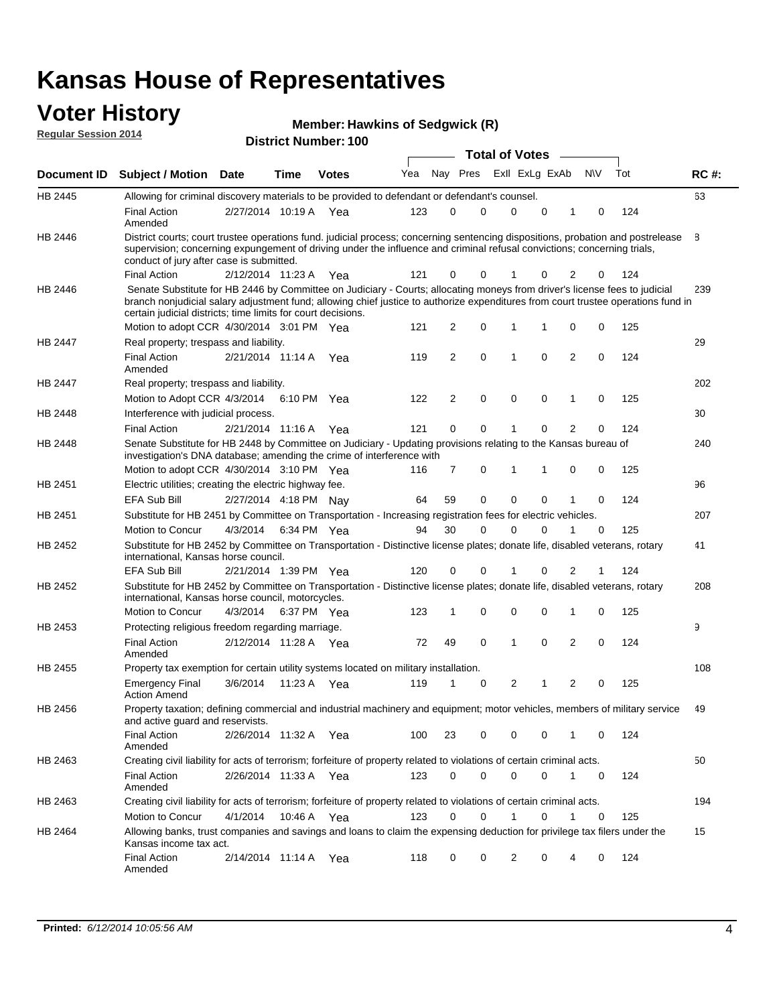#### **Voter History Regular Session 2014**

| <b>Member: Hawkins of Sedgwick (R)</b> |  |  |  |
|----------------------------------------|--|--|--|
|----------------------------------------|--|--|--|

|         |                                                                                                                                                                                                                                                                                                                                 |                       |      |              |     |    |          | <b>Total of Votes</b> |   |                         |             |     |             |
|---------|---------------------------------------------------------------------------------------------------------------------------------------------------------------------------------------------------------------------------------------------------------------------------------------------------------------------------------|-----------------------|------|--------------|-----|----|----------|-----------------------|---|-------------------------|-------------|-----|-------------|
|         | Document ID Subject / Motion Date                                                                                                                                                                                                                                                                                               |                       | Time | <b>Votes</b> | Yea |    | Nay Pres | Exll ExLg ExAb        |   |                         | <b>NV</b>   | Tot | <b>RC#:</b> |
| HB 2445 | Allowing for criminal discovery materials to be provided to defendant or defendant's counsel.                                                                                                                                                                                                                                   |                       |      |              |     |    |          |                       |   |                         |             |     | 63          |
|         | <b>Final Action</b><br>Amended                                                                                                                                                                                                                                                                                                  | 2/27/2014 10:19 A Yea |      |              | 123 | 0  | 0        | 0                     | 0 | 1                       | 0           | 124 |             |
| HB 2446 | District courts; court trustee operations fund. judicial process; concerning sentencing dispositions, probation and postrelease<br>supervision; concerning expungement of driving under the influence and criminal refusal convictions; concerning trials,<br>conduct of jury after case is submitted.                          |                       |      |              |     |    |          |                       |   |                         |             |     | 8           |
|         | <b>Final Action</b>                                                                                                                                                                                                                                                                                                             | 2/12/2014 11:23 A Yea |      |              | 121 | 0  | 0        | 1                     | 0 | 2                       | 0           | 124 |             |
| HB 2446 | Senate Substitute for HB 2446 by Committee on Judiciary - Courts; allocating moneys from driver's license fees to judicial<br>branch nonjudicial salary adjustment fund; allowing chief justice to authorize expenditures from court trustee operations fund in<br>certain judicial districts; time limits for court decisions. |                       |      |              |     |    |          |                       |   |                         |             |     | 239         |
|         | Motion to adopt CCR 4/30/2014 3:01 PM Yea                                                                                                                                                                                                                                                                                       |                       |      |              | 121 | 2  | 0        | 1                     | 1 | 0                       | 0           | 125 |             |
| HB 2447 | Real property; trespass and liability.                                                                                                                                                                                                                                                                                          |                       |      |              |     |    |          |                       |   |                         |             |     | 29          |
|         | <b>Final Action</b><br>Amended                                                                                                                                                                                                                                                                                                  | 2/21/2014 11:14 A Yea |      |              | 119 | 2  | 0        | 1                     | 0 | $\overline{2}$          | 0           | 124 |             |
| HB 2447 | Real property; trespass and liability.                                                                                                                                                                                                                                                                                          |                       |      |              |     |    |          |                       |   |                         |             |     | 202         |
|         | Motion to Adopt CCR 4/3/2014 6:10 PM Yea                                                                                                                                                                                                                                                                                        |                       |      |              | 122 | 2  | 0        | 0                     | 0 | 1                       | 0           | 125 |             |
| HB 2448 | Interference with judicial process.                                                                                                                                                                                                                                                                                             |                       |      |              |     |    |          |                       |   |                         |             |     | 30          |
|         | <b>Final Action</b>                                                                                                                                                                                                                                                                                                             | 2/21/2014 11:16 A Yea |      |              | 121 | 0  | 0        | 1                     | 0 | $\overline{2}$          | 0           | 124 |             |
| HB 2448 | Senate Substitute for HB 2448 by Committee on Judiciary - Updating provisions relating to the Kansas bureau of<br>investigation's DNA database; amending the crime of interference with                                                                                                                                         |                       |      |              |     |    |          |                       |   |                         |             |     | 240         |
|         | Motion to adopt CCR 4/30/2014 3:10 PM Yea                                                                                                                                                                                                                                                                                       |                       |      |              | 116 | 7  | 0        | 1                     | 1 | 0                       | 0           | 125 |             |
| HB 2451 | Electric utilities; creating the electric highway fee.                                                                                                                                                                                                                                                                          |                       |      |              |     |    |          |                       |   |                         |             |     | 96          |
|         | <b>EFA Sub Bill</b>                                                                                                                                                                                                                                                                                                             | 2/27/2014 4:18 PM Nay |      |              | 64  | 59 | 0        | $\mathbf 0$           | 0 |                         | 0           | 124 |             |
| HB 2451 | Substitute for HB 2451 by Committee on Transportation - Increasing registration fees for electric vehicles.                                                                                                                                                                                                                     |                       |      |              |     |    |          |                       |   |                         |             |     | 207         |
|         | Motion to Concur                                                                                                                                                                                                                                                                                                                | 4/3/2014              |      | 6:34 PM Yea  | 94  | 30 | 0        | $\Omega$              | 0 |                         | $\mathbf 0$ | 125 |             |
| HB 2452 | Substitute for HB 2452 by Committee on Transportation - Distinctive license plates; donate life, disabled veterans, rotary<br>international, Kansas horse council.                                                                                                                                                              |                       |      |              |     |    |          |                       |   |                         |             |     | 41          |
|         | EFA Sub Bill                                                                                                                                                                                                                                                                                                                    | 2/21/2014 1:39 PM Yea |      |              | 120 | 0  | 0        | 1                     | 0 | 2                       |             | 124 |             |
| HB 2452 | Substitute for HB 2452 by Committee on Transportation - Distinctive license plates; donate life, disabled veterans, rotary<br>international, Kansas horse council, motorcycles.                                                                                                                                                 |                       |      |              |     |    |          |                       |   |                         |             |     | 208         |
|         | Motion to Concur                                                                                                                                                                                                                                                                                                                | 4/3/2014              |      | 6:37 PM Yea  | 123 | 1  | 0        | $\mathbf 0$           | 0 | 1                       | 0           | 125 |             |
| HB 2453 | Protecting religious freedom regarding marriage.                                                                                                                                                                                                                                                                                |                       |      |              |     |    |          |                       |   |                         |             |     | 9           |
|         | <b>Final Action</b><br>Amended                                                                                                                                                                                                                                                                                                  | 2/12/2014 11:28 A Yea |      |              | 72  | 49 | 0        | 1                     | 0 | $\overline{2}$          | 0           | 124 |             |
| HB 2455 | Property tax exemption for certain utility systems located on military installation.                                                                                                                                                                                                                                            |                       |      |              |     |    |          |                       |   |                         |             |     | 108         |
|         | <b>Emergency Final</b><br><b>Action Amend</b>                                                                                                                                                                                                                                                                                   | 3/6/2014              |      | 11:23 A Yea  | 119 | 1  | 0        | 2                     | 1 | $\overline{\mathbf{c}}$ | 0           | 125 |             |
| HB 2456 | Property taxation; defining commercial and industrial machinery and equipment; motor vehicles, members of military service<br>and active guard and reservists.                                                                                                                                                                  |                       |      |              |     |    |          |                       |   |                         |             |     | 49          |
|         | <b>Final Action</b><br>Amended                                                                                                                                                                                                                                                                                                  | 2/26/2014 11:32 A Yea |      |              | 100 | 23 | 0        | 0                     | 0 |                         | 0           | 124 |             |
| HB 2463 | Creating civil liability for acts of terrorism; forfeiture of property related to violations of certain criminal acts.                                                                                                                                                                                                          |                       |      |              |     |    |          |                       |   |                         |             |     | 50          |
|         | <b>Final Action</b><br>Amended                                                                                                                                                                                                                                                                                                  | 2/26/2014 11:33 A Yea |      |              | 123 | 0  | 0        | 0                     | 0 | 1                       | 0           | 124 |             |
| HB 2463 | Creating civil liability for acts of terrorism; forfeiture of property related to violations of certain criminal acts.                                                                                                                                                                                                          |                       |      |              |     |    |          |                       |   |                         |             |     | 194         |
|         | Motion to Concur                                                                                                                                                                                                                                                                                                                | 4/1/2014              |      | 10:46 A Yea  | 123 | 0  | 0        | 1                     | 0 | 1                       | 0           | 125 |             |
| HB 2464 | Allowing banks, trust companies and savings and loans to claim the expensing deduction for privilege tax filers under the<br>Kansas income tax act.                                                                                                                                                                             |                       |      |              |     |    |          |                       |   |                         |             |     | 15          |
|         | Final Action<br>Amended                                                                                                                                                                                                                                                                                                         | 2/14/2014 11:14 A Yea |      |              | 118 | 0  | 0        | 2                     | 0 | 4                       | 0           | 124 |             |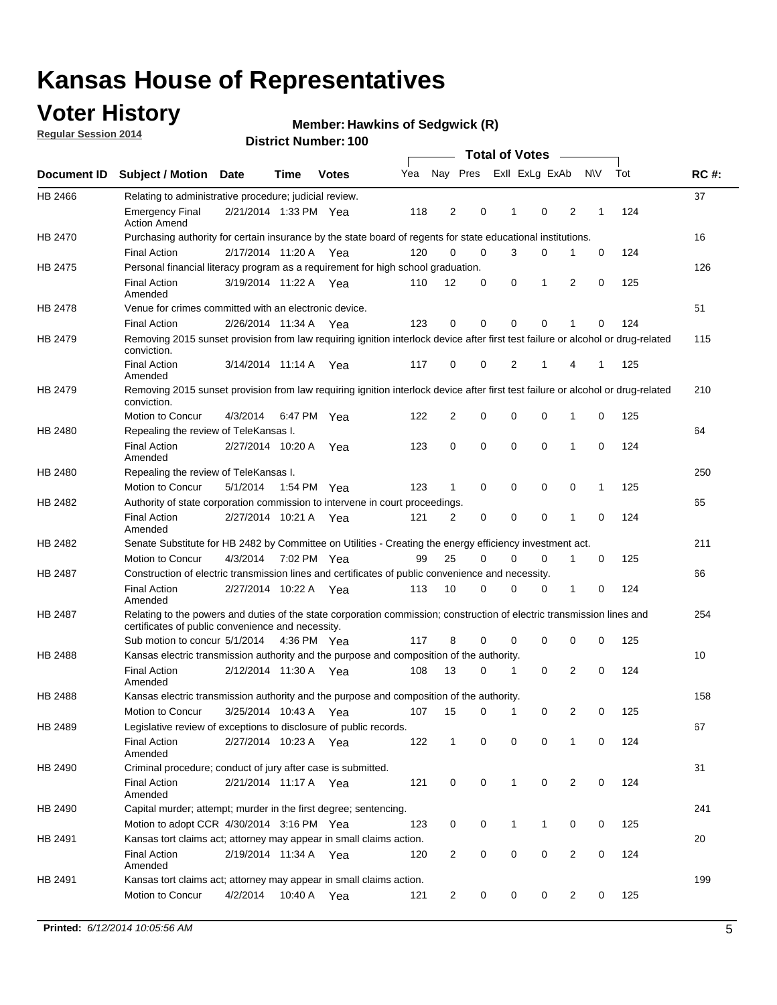### **Voter History**

**Regular Session 2014**

#### **Hawkins of Sedgwick (R)**

|                |                                                                                                                                                                             |                       |             |              |     |                |             | <b>Total of Votes</b> |              |                |   |             |     |             |
|----------------|-----------------------------------------------------------------------------------------------------------------------------------------------------------------------------|-----------------------|-------------|--------------|-----|----------------|-------------|-----------------------|--------------|----------------|---|-------------|-----|-------------|
|                | Document ID Subject / Motion Date                                                                                                                                           |                       | Time        | <b>Votes</b> | Yea |                | Nay Pres    |                       |              | Exll ExLg ExAb |   | <b>NV</b>   | Tot | <b>RC#:</b> |
| HB 2466        | Relating to administrative procedure; judicial review.                                                                                                                      |                       |             |              |     |                |             |                       |              |                |   |             |     | 37          |
|                | <b>Emergency Final</b><br><b>Action Amend</b>                                                                                                                               | 2/21/2014 1:33 PM Yea |             |              | 118 | 2              | 0           |                       | 1            | 0              | 2 | 1           | 124 |             |
| <b>HB 2470</b> | Purchasing authority for certain insurance by the state board of regents for state educational institutions.                                                                |                       |             |              |     |                |             |                       |              |                |   |             |     | 16          |
|                | <b>Final Action</b>                                                                                                                                                         | 2/17/2014 11:20 A Yea |             |              | 120 | 0              | 0           |                       | 3            | 0              | 1 | 0           | 124 |             |
| HB 2475        | Personal financial literacy program as a requirement for high school graduation.                                                                                            |                       |             |              |     |                |             |                       |              |                |   |             |     | 126         |
|                | <b>Final Action</b><br>Amended                                                                                                                                              | 3/19/2014 11:22 A Yea |             |              | 110 | 12             | 0           |                       | 0            | 1              | 2 | $\mathbf 0$ | 125 |             |
| HB 2478        | Venue for crimes committed with an electronic device.                                                                                                                       |                       |             |              |     |                |             |                       |              |                |   |             |     | 51          |
|                | <b>Final Action</b>                                                                                                                                                         | 2/26/2014 11:34 A     |             | Yea          | 123 | 0              | 0           |                       | $\mathbf 0$  | $\mathbf 0$    | 1 | 0           | 124 |             |
| HB 2479        | Removing 2015 sunset provision from law requiring ignition interlock device after first test failure or alcohol or drug-related<br>conviction.                              |                       |             |              |     |                |             |                       |              |                |   |             |     | 115         |
|                | <b>Final Action</b><br>Amended                                                                                                                                              | 3/14/2014 11:14 A     |             | Yea          | 117 | $\mathbf 0$    | 0           |                       | 2            | 1              | 4 | 1           | 125 |             |
| HB 2479        | Removing 2015 sunset provision from law requiring ignition interlock device after first test failure or alcohol or drug-related<br>conviction.                              |                       |             |              |     |                |             |                       |              |                |   |             |     | 210         |
|                | Motion to Concur                                                                                                                                                            | 4/3/2014              |             | 6:47 PM Yea  | 122 | $\overline{2}$ | 0           |                       | 0            | $\mathbf 0$    | 1 | 0           | 125 |             |
| HB 2480        | Repealing the review of TeleKansas I.                                                                                                                                       |                       |             |              |     |                |             |                       |              |                |   |             |     | 64          |
|                | <b>Final Action</b><br>Amended                                                                                                                                              | 2/27/2014 10:20 A     |             | Yea          | 123 | 0              | 0           |                       | $\mathbf 0$  | $\mathbf 0$    | 1 | 0           | 124 |             |
| HB 2480        | Repealing the review of TeleKansas I.                                                                                                                                       |                       |             |              |     |                |             |                       |              |                |   |             |     | 250         |
|                | Motion to Concur                                                                                                                                                            | 5/1/2014              |             | 1:54 PM Yea  | 123 | 1              | 0           |                       | 0            | 0              | 0 | 1           | 125 |             |
| HB 2482        | Authority of state corporation commission to intervene in court proceedings.                                                                                                |                       |             |              |     |                |             |                       |              |                |   |             |     | 65          |
|                | <b>Final Action</b><br>Amended                                                                                                                                              | 2/27/2014 10:21 A     |             | Yea          | 121 | $\overline{2}$ | 0           |                       | $\mathbf 0$  | $\mathbf 0$    | 1 | $\mathbf 0$ | 124 |             |
| HB 2482        | Senate Substitute for HB 2482 by Committee on Utilities - Creating the energy efficiency investment act.                                                                    |                       |             |              |     |                |             |                       |              |                |   |             |     | 211         |
|                | Motion to Concur                                                                                                                                                            | 4/3/2014              | 7:02 PM Yea |              | 99  | 25             | $\mathbf 0$ |                       | 0            | $\mathbf 0$    | 1 | 0           | 125 |             |
| HB 2487        | Construction of electric transmission lines and certificates of public convenience and necessity.                                                                           |                       |             |              |     |                |             |                       |              |                |   |             |     | 66          |
|                | <b>Final Action</b><br>Amended                                                                                                                                              | 2/27/2014 10:22 A     |             | Yea          | 113 | 10             | 0           |                       | 0            | 0              | 1 | 0           | 124 |             |
| HB 2487        | Relating to the powers and duties of the state corporation commission; construction of electric transmission lines and<br>certificates of public convenience and necessity. |                       |             |              |     |                |             |                       |              |                |   |             |     | 254         |
|                | Sub motion to concur 5/1/2014                                                                                                                                               |                       |             | 4:36 PM Yea  | 117 | 8              | 0           |                       | 0            | 0              | 0 | 0           | 125 |             |
| <b>HB 2488</b> | Kansas electric transmission authority and the purpose and composition of the authority.                                                                                    |                       |             |              |     |                |             |                       |              |                |   |             |     | 10          |
|                | <b>Final Action</b><br>Amended                                                                                                                                              | 2/12/2014 11:30 A     |             | Yea          | 108 | 13             | 0           |                       | 1            | 0              | 2 | 0           | 124 |             |
| <b>HB 2488</b> | Kansas electric transmission authority and the purpose and composition of the authority.                                                                                    |                       |             |              |     |                |             |                       |              |                |   |             |     | 158         |
|                | Motion to Concur                                                                                                                                                            | 3/25/2014 10:43 A     |             | Yea          | 107 | 15             | 0           |                       | 1            | 0              | 2 | 0           | 125 |             |
| HB 2489        | Legislative review of exceptions to disclosure of public records.                                                                                                           |                       |             |              |     |                |             |                       |              |                |   |             |     | 67          |
|                | <b>Final Action</b><br>Amended                                                                                                                                              | 2/27/2014 10:23 A Yea |             |              | 122 | $\mathbf 1$    | 0           |                       | 0            | 0              | 1 | 0           | 124 |             |
| HB 2490        | Criminal procedure; conduct of jury after case is submitted.                                                                                                                |                       |             |              |     |                |             |                       |              |                |   |             |     | 31          |
|                | <b>Final Action</b><br>Amended                                                                                                                                              | 2/21/2014 11:17 A Yea |             |              | 121 | 0              | 0           |                       | $\mathbf{1}$ | $\mathbf 0$    | 2 | 0           | 124 |             |
| HB 2490        | Capital murder; attempt; murder in the first degree; sentencing.                                                                                                            |                       |             |              |     |                |             |                       |              |                |   |             |     | 241         |
|                | Motion to adopt CCR 4/30/2014 3:16 PM Yea                                                                                                                                   |                       |             |              | 123 | 0              | 0           |                       | $\mathbf 1$  | 1              | 0 | 0           | 125 |             |
| HB 2491        | Kansas tort claims act; attorney may appear in small claims action.                                                                                                         |                       |             |              |     |                |             |                       |              |                |   |             |     | 20          |
|                | <b>Final Action</b><br>Amended                                                                                                                                              | 2/19/2014 11:34 A Yea |             |              | 120 | $\overline{c}$ | 0           |                       | 0            | $\pmb{0}$      | 2 | 0           | 124 |             |
| HB 2491        | Kansas tort claims act; attorney may appear in small claims action.                                                                                                         |                       |             |              |     |                |             |                       |              |                |   |             |     | 199         |
|                | Motion to Concur                                                                                                                                                            | 4/2/2014              |             | 10:40 A Yea  | 121 | 2              | 0           |                       | 0            | 0              | 2 | 0           | 125 |             |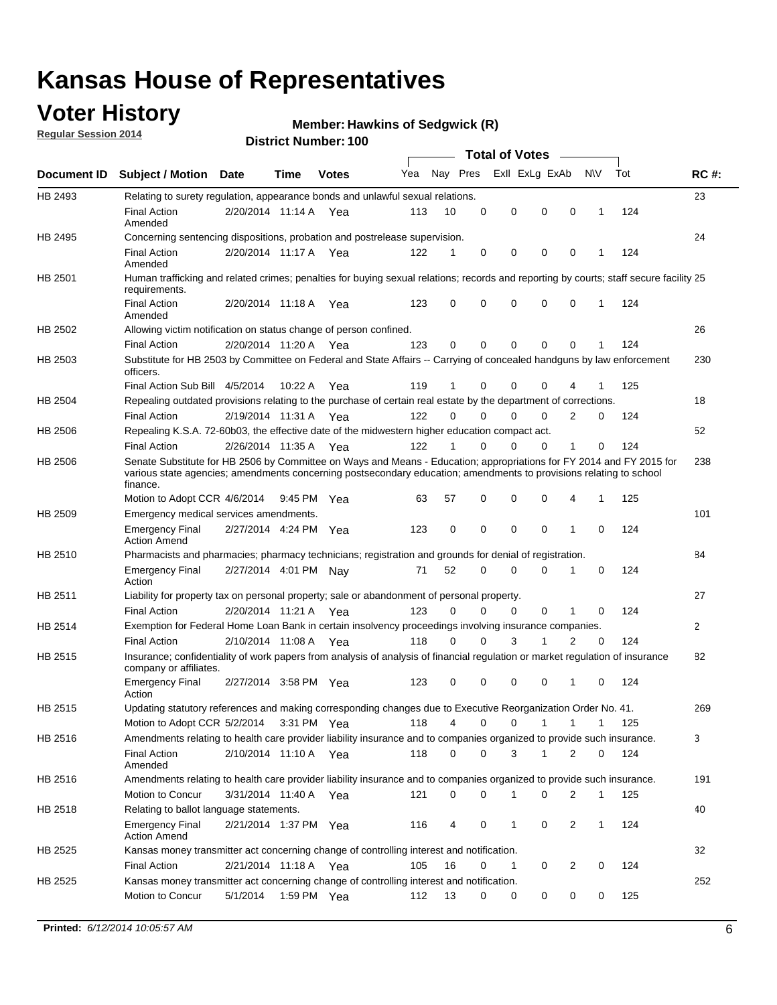### **Voter History**

**Regular Session 2014**

#### **Hawkins of Sedgwick (R)**

|             |                                                                                                                                                                                                                                                        |                       |             | טטו דיסעוווטפו. |     |              |             |   | <b>Total of Votes</b>      |                |              |     |             |
|-------------|--------------------------------------------------------------------------------------------------------------------------------------------------------------------------------------------------------------------------------------------------------|-----------------------|-------------|-----------------|-----|--------------|-------------|---|----------------------------|----------------|--------------|-----|-------------|
| Document ID | <b>Subject / Motion Date</b>                                                                                                                                                                                                                           |                       | Time        | <b>Votes</b>    | Yea |              |             |   | Nay Pres Exll ExLg ExAb    |                | <b>NV</b>    | Tot | <b>RC#:</b> |
| HB 2493     | Relating to surety regulation, appearance bonds and unlawful sexual relations.                                                                                                                                                                         |                       |             |                 |     |              |             |   |                            |                |              |     | 23          |
|             | Final Action<br>Amended                                                                                                                                                                                                                                | 2/20/2014 11:14 A Yea |             |                 | 113 | 10           | 0           |   | $\mathbf 0$<br>$\mathbf 0$ | 0              | $\mathbf{1}$ | 124 |             |
| HB 2495     | Concerning sentencing dispositions, probation and postrelease supervision.                                                                                                                                                                             |                       |             |                 |     |              |             |   |                            |                |              |     | 24          |
|             | <b>Final Action</b><br>Amended                                                                                                                                                                                                                         | 2/20/2014 11:17 A     |             | Yea             | 122 | 1            | 0           |   | 0<br>$\mathbf 0$           | 0              | 1            | 124 |             |
| HB 2501     | Human trafficking and related crimes; penalties for buying sexual relations; records and reporting by courts; staff secure facility 25<br>requirements.                                                                                                |                       |             |                 |     |              |             |   |                            |                |              |     |             |
|             | <b>Final Action</b><br>Amended                                                                                                                                                                                                                         | 2/20/2014 11:18 A     |             | Yea             | 123 | 0            | 0           |   | $\Omega$<br>$\mathbf 0$    | 0              | 1            | 124 |             |
| HB 2502     | Allowing victim notification on status change of person confined.                                                                                                                                                                                      |                       |             |                 |     |              |             |   |                            |                |              |     | 26          |
|             | <b>Final Action</b>                                                                                                                                                                                                                                    | 2/20/2014 11:20 A     |             | Yea             | 123 | 0            | 0           |   | $\mathbf 0$<br>$\Omega$    | 0              |              | 124 |             |
| HB 2503     | Substitute for HB 2503 by Committee on Federal and State Affairs -- Carrying of concealed handguns by law enforcement<br>officers.                                                                                                                     |                       |             |                 |     |              |             |   |                            |                |              |     | 230         |
|             | Final Action Sub Bill 4/5/2014                                                                                                                                                                                                                         |                       | 10:22 A     | Yea             | 119 |              | 0           |   | $\mathbf 0$<br>0           | 4              |              | 125 |             |
| HB 2504     | Repealing outdated provisions relating to the purchase of certain real estate by the department of corrections.                                                                                                                                        |                       |             |                 |     |              |             |   |                            |                |              |     | 18          |
|             | <b>Final Action</b>                                                                                                                                                                                                                                    | 2/19/2014 11:31 A     |             | Yea             | 122 | $\Omega$     | 0           |   | $\mathbf 0$<br>$\mathbf 0$ | 2              | 0            | 124 |             |
| HB 2506     | Repealing K.S.A. 72-60b03, the effective date of the midwestern higher education compact act.                                                                                                                                                          |                       |             |                 |     |              |             |   |                            |                |              |     | 52          |
|             | <b>Final Action</b>                                                                                                                                                                                                                                    | 2/26/2014 11:35 A Yea |             |                 | 122 | $\mathbf{1}$ | $\mathbf 0$ |   | $\mathbf 0$<br>$\mathbf 0$ | 1              | 0            | 124 |             |
| HB 2506     | Senate Substitute for HB 2506 by Committee on Ways and Means - Education; appropriations for FY 2014 and FY 2015 for<br>various state agencies; amendments concerning postsecondary education; amendments to provisions relating to school<br>finance. |                       |             |                 |     |              |             |   |                            |                |              |     | 238         |
|             | Motion to Adopt CCR 4/6/2014                                                                                                                                                                                                                           |                       | 9:45 PM Yea |                 | 63  | 57           | 0           |   | $\mathbf 0$<br>$\Omega$    | 4              | 1            | 125 |             |
| HB 2509     | Emergency medical services amendments.                                                                                                                                                                                                                 |                       |             |                 |     |              |             |   |                            |                |              |     | 101         |
|             | <b>Emergency Final</b><br><b>Action Amend</b>                                                                                                                                                                                                          | 2/27/2014 4:24 PM Yea |             |                 | 123 | 0            | 0           |   | $\mathbf 0$<br>$\Omega$    | 1              | $\Omega$     | 124 |             |
| HB 2510     | Pharmacists and pharmacies; pharmacy technicians; registration and grounds for denial of registration.                                                                                                                                                 |                       |             |                 |     |              |             |   |                            |                |              |     | 84          |
|             | <b>Emergency Final</b><br>Action                                                                                                                                                                                                                       | 2/27/2014 4:01 PM Nay |             |                 | 71  | 52           | 0           |   | $\mathbf 0$<br>$\Omega$    | 1              | 0            | 124 |             |
| HB 2511     | Liability for property tax on personal property; sale or abandonment of personal property.                                                                                                                                                             |                       |             |                 |     |              |             |   |                            |                |              |     | 27          |
|             | <b>Final Action</b>                                                                                                                                                                                                                                    | 2/20/2014 11:21 A     |             | Yea             | 123 | $\Omega$     | $\Omega$    |   | $\Omega$<br>$\mathbf 0$    | 1              | $\Omega$     | 124 |             |
| HB 2514     | Exemption for Federal Home Loan Bank in certain insolvency proceedings involving insurance companies.                                                                                                                                                  |                       |             |                 |     |              |             |   |                            |                |              |     | 2           |
|             | <b>Final Action</b>                                                                                                                                                                                                                                    | 2/10/2014 11:08 A     |             | Yea             | 118 | $\Omega$     | $\Omega$    |   | 3<br>1                     | $\overline{2}$ | 0            | 124 |             |
| HB 2515     | Insurance; confidentiality of work papers from analysis of analysis of financial regulation or market regulation of insurance<br>company or affiliates.                                                                                                |                       |             |                 |     |              |             |   |                            |                |              |     | 82          |
|             | <b>Emergency Final</b><br>Action                                                                                                                                                                                                                       | 2/27/2014 3:58 PM Yea |             |                 | 123 | $\Omega$     | $\Omega$    |   | $\Omega$<br>$\Omega$       | -1             | 0            | 124 |             |
| HB 2515     | Updating statutory references and making corresponding changes due to Executive Reorganization Order No. 41.                                                                                                                                           |                       |             |                 |     |              |             |   |                            |                |              |     | 269         |
|             | Motion to Adopt CCR 5/2/2014 3:31 PM Yea                                                                                                                                                                                                               |                       |             |                 | 118 | 4            | 0           |   | 0<br>1                     |                |              | 125 |             |
| HB 2516     | Amendments relating to health care provider liability insurance and to companies organized to provide such insurance.                                                                                                                                  |                       |             |                 |     |              |             |   |                            |                |              |     | 3           |
|             | <b>Final Action</b><br>Amended                                                                                                                                                                                                                         | 2/10/2014 11:10 A Yea |             |                 | 118 | 0            | 0           |   | 3<br>1                     | 2              | 0            | 124 |             |
| HB 2516     | Amendments relating to health care provider liability insurance and to companies organized to provide such insurance.                                                                                                                                  |                       |             |                 |     |              |             |   |                            |                |              |     | 191         |
|             | <b>Motion to Concur</b>                                                                                                                                                                                                                                | 3/31/2014 11:40 A     |             | Yea             | 121 | 0            | 0           |   | $\mathbf 0$<br>1           | 2              | 1            | 125 |             |
| HB 2518     | Relating to ballot language statements.                                                                                                                                                                                                                |                       |             |                 |     |              |             |   |                            |                |              |     | 40          |
|             | <b>Emergency Final</b><br><b>Action Amend</b>                                                                                                                                                                                                          | 2/21/2014 1:37 PM Yea |             |                 | 116 | 4            | 0           | 1 | 0                          | $\overline{2}$ | 1            | 124 |             |
| HB 2525     | Kansas money transmitter act concerning change of controlling interest and notification.                                                                                                                                                               |                       |             |                 |     |              |             |   |                            |                |              |     | 32          |
|             | Final Action                                                                                                                                                                                                                                           | 2/21/2014 11:18 A Yea |             |                 | 105 | 16           | 0           |   | 1<br>0                     | $\overline{2}$ | 0            | 124 |             |
| HB 2525     | Kansas money transmitter act concerning change of controlling interest and notification.                                                                                                                                                               |                       |             |                 |     |              |             |   |                            |                |              |     | 252         |
|             | Motion to Concur                                                                                                                                                                                                                                       | 5/1/2014              | 1:59 PM Yea |                 | 112 | 13           | 0           |   | 0<br>0                     | 0              | 0            | 125 |             |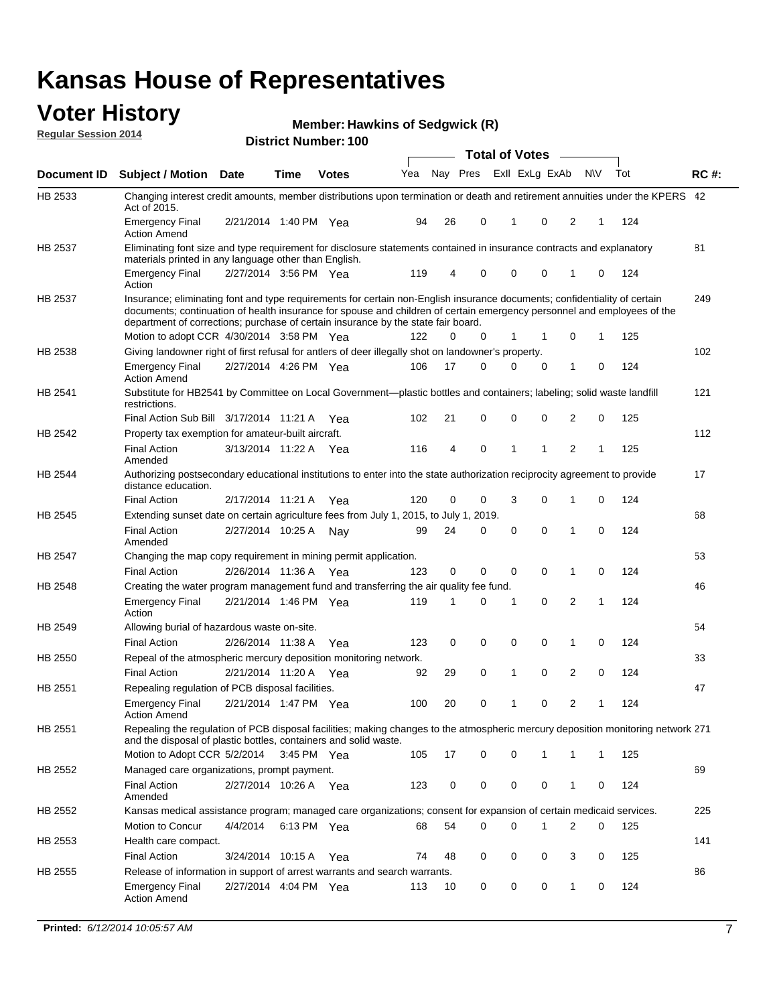### **Voter History**

**Regular Session 2014**

**Hawkins of Sedgwick (R)**

|                |                                                                                                                                                                                                                                                                                                                                           |                       |             |              | <b>Total of Votes</b> |    |          |  |                |             |                |           |     |             |
|----------------|-------------------------------------------------------------------------------------------------------------------------------------------------------------------------------------------------------------------------------------------------------------------------------------------------------------------------------------------|-----------------------|-------------|--------------|-----------------------|----|----------|--|----------------|-------------|----------------|-----------|-----|-------------|
| Document ID    | <b>Subject / Motion Date</b>                                                                                                                                                                                                                                                                                                              |                       | <b>Time</b> | <b>Votes</b> | Yea                   |    | Nay Pres |  | Exll ExLg ExAb |             |                | <b>NV</b> | Tot | <b>RC#:</b> |
| HB 2533        | Changing interest credit amounts, member distributions upon termination or death and retirement annuities under the KPERS 42<br>Act of 2015.                                                                                                                                                                                              |                       |             |              |                       |    |          |  |                |             |                |           |     |             |
|                | <b>Emergency Final</b><br><b>Action Amend</b>                                                                                                                                                                                                                                                                                             | 2/21/2014 1:40 PM Yea |             |              | 94                    | 26 | 0        |  | 1              | $\mathbf 0$ | 2              | 1         | 124 |             |
| HB 2537        | Eliminating font size and type requirement for disclosure statements contained in insurance contracts and explanatory                                                                                                                                                                                                                     |                       |             |              |                       |    |          |  |                |             |                |           |     | 81          |
|                | materials printed in any language other than English.<br><b>Emergency Final</b>                                                                                                                                                                                                                                                           | 2/27/2014 3:56 PM Yea |             |              | 119                   | 4  | 0        |  | 0              | 0           | 1              | 0         | 124 |             |
|                | Action                                                                                                                                                                                                                                                                                                                                    |                       |             |              |                       |    |          |  |                |             |                |           |     |             |
| <b>HB 2537</b> | Insurance; eliminating font and type requirements for certain non-English insurance documents; confidentiality of certain<br>documents; continuation of health insurance for spouse and children of certain emergency personnel and employees of the<br>department of corrections; purchase of certain insurance by the state fair board. |                       |             |              |                       |    |          |  |                |             |                |           |     | 249         |
| HB 2538        | Motion to adopt CCR 4/30/2014 3:58 PM Yea<br>Giving landowner right of first refusal for antlers of deer illegally shot on landowner's property.                                                                                                                                                                                          |                       |             |              | 122                   | 0  | 0        |  | 1              |             | 0              | 1         | 125 | 102         |
|                | <b>Emergency Final</b>                                                                                                                                                                                                                                                                                                                    | 2/27/2014 4:26 PM Yea |             |              | 106                   | 17 | 0        |  | 0              | $\mathbf 0$ | 1              | 0         | 124 |             |
|                | <b>Action Amend</b>                                                                                                                                                                                                                                                                                                                       |                       |             |              |                       |    |          |  |                |             |                |           |     |             |
| HB 2541        | Substitute for HB2541 by Committee on Local Government—plastic bottles and containers; labeling; solid waste landfill<br>restrictions.                                                                                                                                                                                                    |                       |             |              |                       |    |          |  |                |             |                |           |     | 121         |
|                | Final Action Sub Bill 3/17/2014 11:21 A                                                                                                                                                                                                                                                                                                   |                       |             | Yea          | 102                   | 21 | 0        |  | 0              | $\mathbf 0$ | 2              | 0         | 125 |             |
| HB 2542        | Property tax exemption for amateur-built aircraft.                                                                                                                                                                                                                                                                                        |                       |             |              |                       |    |          |  |                |             |                |           |     | 112         |
|                | <b>Final Action</b><br>Amended                                                                                                                                                                                                                                                                                                            | 3/13/2014 11:22 A Yea |             |              | 116                   | 4  | 0        |  | 1              | 1           | $\overline{2}$ | 1         | 125 |             |
| HB 2544        | Authorizing postsecondary educational institutions to enter into the state authorization reciprocity agreement to provide<br>distance education.                                                                                                                                                                                          |                       |             |              |                       |    |          |  |                |             |                |           |     | 17          |
|                | <b>Final Action</b>                                                                                                                                                                                                                                                                                                                       | 2/17/2014 11:21 A     |             | Yea          | 120                   | 0  | 0        |  | 3              | 0           | 1              | 0         | 124 |             |
| HB 2545        | Extending sunset date on certain agriculture fees from July 1, 2015, to July 1, 2019.                                                                                                                                                                                                                                                     |                       |             |              |                       |    |          |  |                |             |                |           |     | 68          |
|                | <b>Final Action</b><br>Amended                                                                                                                                                                                                                                                                                                            | 2/27/2014 10:25 A     |             | Nav          | 99                    | 24 | 0        |  | 0              | $\Omega$    | $\mathbf{1}$   | 0         | 124 |             |
| HB 2547        | Changing the map copy requirement in mining permit application.                                                                                                                                                                                                                                                                           |                       |             |              |                       |    |          |  |                |             |                |           |     | 53          |
|                | <b>Final Action</b>                                                                                                                                                                                                                                                                                                                       | 2/26/2014 11:36 A     |             | Yea          | 123                   | 0  | 0        |  | 0              | 0           | 1              | 0         | 124 |             |
| HB 2548        | Creating the water program management fund and transferring the air quality fee fund.                                                                                                                                                                                                                                                     |                       |             |              |                       |    |          |  |                |             |                |           |     | 46          |
|                | <b>Emergency Final</b><br>Action                                                                                                                                                                                                                                                                                                          | 2/21/2014 1:46 PM Yea |             |              | 119                   | 1  | 0        |  | 1              | 0           | 2              | 1         | 124 |             |
| HB 2549        | Allowing burial of hazardous waste on-site.                                                                                                                                                                                                                                                                                               |                       |             |              |                       |    |          |  |                |             |                |           |     | 54          |
|                | <b>Final Action</b>                                                                                                                                                                                                                                                                                                                       | 2/26/2014 11:38 A     |             | Yea          | 123                   | 0  | 0        |  | 0              | 0           | 1              | 0         | 124 |             |
| HB 2550        | Repeal of the atmospheric mercury deposition monitoring network.                                                                                                                                                                                                                                                                          |                       |             |              |                       |    |          |  |                |             |                |           |     | 33          |
|                | <b>Final Action</b>                                                                                                                                                                                                                                                                                                                       | 2/21/2014 11:20 A     |             | Yea          | 92                    | 29 | 0        |  | 1              | 0           | 2              | 0         | 124 |             |
| HB 2551        | Repealing regulation of PCB disposal facilities.                                                                                                                                                                                                                                                                                          |                       |             |              |                       |    |          |  |                |             |                |           |     | 47          |
|                | <b>Emergency Final</b><br>Action Amend                                                                                                                                                                                                                                                                                                    | 2/21/2014 1:47 PM Yea |             |              | 100                   | 20 | 0        |  | 1              | 0           | 2              | 1         | 124 |             |
| HB 2551        | Repealing the regulation of PCB disposal facilities; making changes to the atmospheric mercury deposition monitoring network 271<br>and the disposal of plastic bottles, containers and solid waste.                                                                                                                                      |                       |             |              |                       |    |          |  |                |             |                |           |     |             |
|                | Motion to Adopt CCR 5/2/2014 3:45 PM Yea                                                                                                                                                                                                                                                                                                  |                       |             |              | 105                   | 17 | 0        |  | 0              | 1           | 1              | 1         | 125 |             |
| HB 2552        | Managed care organizations, prompt payment.                                                                                                                                                                                                                                                                                               |                       |             |              |                       |    |          |  |                |             |                |           |     | 69          |
|                | <b>Final Action</b><br>Amended                                                                                                                                                                                                                                                                                                            | 2/27/2014 10:26 A Yea |             |              | 123                   | 0  | 0        |  | 0              | 0           | 1              | 0         | 124 |             |
| HB 2552        | Kansas medical assistance program; managed care organizations; consent for expansion of certain medicaid services.                                                                                                                                                                                                                        |                       |             |              |                       |    |          |  |                |             |                |           |     | 225         |
|                | Motion to Concur                                                                                                                                                                                                                                                                                                                          | 4/4/2014              | 6:13 PM Yea |              | 68                    | 54 | 0        |  | 0              | 1           | $\overline{2}$ | 0         | 125 |             |
| HB 2553        | Health care compact.                                                                                                                                                                                                                                                                                                                      |                       |             |              |                       |    |          |  |                |             |                |           |     | 141         |
|                | <b>Final Action</b>                                                                                                                                                                                                                                                                                                                       | 3/24/2014 10:15 A     |             | Yea          | 74                    | 48 | 0        |  | 0              | 0           | 3              | 0         | 125 |             |
| HB 2555        | Release of information in support of arrest warrants and search warrants.                                                                                                                                                                                                                                                                 |                       |             |              |                       |    |          |  |                |             |                |           |     | 86          |
|                | <b>Emergency Final</b><br><b>Action Amend</b>                                                                                                                                                                                                                                                                                             | 2/27/2014 4:04 PM Yea |             |              | 113                   | 10 | 0        |  | 0              | 0           | $\mathbf{1}$   | 0         | 124 |             |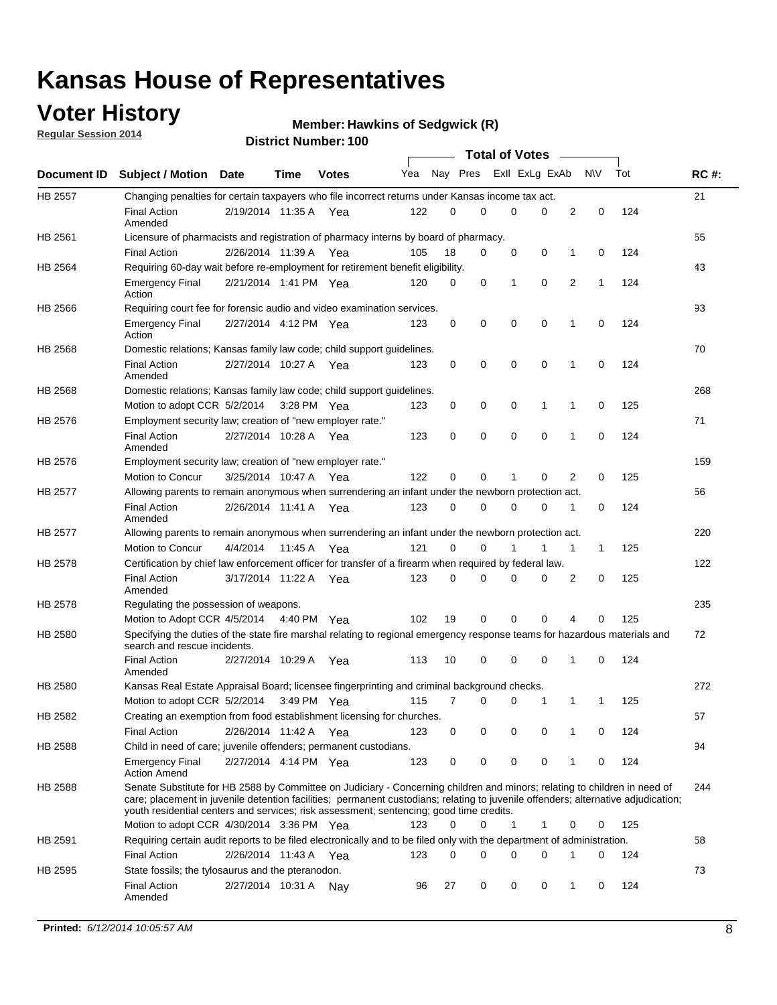### **Voter History**

**Regular Session 2014**

#### **Hawkins of Sedgwick (R)**

|                |                                                                                                                                                                                                                                                                                                                                                           |                       |             |              |     |          |   | <b>Total of Votes</b> |             |              |              |     |             |
|----------------|-----------------------------------------------------------------------------------------------------------------------------------------------------------------------------------------------------------------------------------------------------------------------------------------------------------------------------------------------------------|-----------------------|-------------|--------------|-----|----------|---|-----------------------|-------------|--------------|--------------|-----|-------------|
|                | Document ID Subject / Motion Date                                                                                                                                                                                                                                                                                                                         |                       | Time        | <b>Votes</b> | Yea | Nay Pres |   | Exll ExLg ExAb        |             |              | <b>NV</b>    | Tot | <b>RC#:</b> |
| <b>HB 2557</b> | Changing penalties for certain taxpayers who file incorrect returns under Kansas income tax act.                                                                                                                                                                                                                                                          |                       |             |              |     |          |   |                       |             |              |              |     | 21          |
|                | <b>Final Action</b><br>Amended                                                                                                                                                                                                                                                                                                                            | 2/19/2014 11:35 A     |             | Yea          | 122 | 0        | 0 | 0                     | 0           | 2            | 0            | 124 |             |
| HB 2561        | Licensure of pharmacists and registration of pharmacy interns by board of pharmacy.                                                                                                                                                                                                                                                                       |                       |             |              |     |          |   |                       |             |              |              |     | 55          |
|                | <b>Final Action</b>                                                                                                                                                                                                                                                                                                                                       | 2/26/2014 11:39 A Yea |             |              | 105 | 18       | 0 | 0                     | 0           | 1            | 0            | 124 |             |
| HB 2564        | Requiring 60-day wait before re-employment for retirement benefit eligibility.                                                                                                                                                                                                                                                                            |                       |             |              |     |          |   |                       |             |              |              |     | 43          |
|                | <b>Emergency Final</b><br>Action                                                                                                                                                                                                                                                                                                                          | 2/21/2014 1:41 PM Yea |             |              | 120 | 0        | 0 | 1                     | 0           | 2            | 1            | 124 |             |
| HB 2566        | Requiring court fee for forensic audio and video examination services.                                                                                                                                                                                                                                                                                    |                       |             |              |     |          |   |                       |             |              |              |     | 93          |
|                | <b>Emergency Final</b><br>Action                                                                                                                                                                                                                                                                                                                          | 2/27/2014 4:12 PM Yea |             |              | 123 | 0        | 0 | 0                     | $\mathbf 0$ | 1            | $\mathbf 0$  | 124 |             |
| HB 2568        | Domestic relations; Kansas family law code; child support guidelines.                                                                                                                                                                                                                                                                                     |                       |             |              |     |          |   |                       |             |              |              |     | 70          |
|                | <b>Final Action</b><br>Amended                                                                                                                                                                                                                                                                                                                            | 2/27/2014 10:27 A     |             | Yea          | 123 | 0        | 0 | 0                     | 0           | 1            | 0            | 124 |             |
| HB 2568        | Domestic relations; Kansas family law code; child support guidelines.                                                                                                                                                                                                                                                                                     |                       |             |              |     |          |   |                       |             |              |              |     | 268         |
|                | Motion to adopt CCR 5/2/2014                                                                                                                                                                                                                                                                                                                              |                       | 3:28 PM Yea |              | 123 | 0        | 0 | 0                     | 1           | 1            | 0            | 125 |             |
| HB 2576        | Employment security law; creation of "new employer rate."                                                                                                                                                                                                                                                                                                 |                       |             |              |     |          |   |                       |             |              |              |     | 71          |
|                | <b>Final Action</b><br>Amended                                                                                                                                                                                                                                                                                                                            | 2/27/2014 10:28 A     |             | Yea          | 123 | 0        | 0 | 0                     | $\mathbf 0$ | 1            | 0            | 124 |             |
| HB 2576        | Employment security law; creation of "new employer rate."                                                                                                                                                                                                                                                                                                 |                       |             |              |     |          |   |                       |             |              |              |     | 159         |
|                | Motion to Concur                                                                                                                                                                                                                                                                                                                                          | 3/25/2014 10:47 A     |             | Yea          | 122 | 0        | 0 | 1                     | 0           | 2            | 0            | 125 |             |
| HB 2577        | Allowing parents to remain anonymous when surrendering an infant under the newborn protection act.                                                                                                                                                                                                                                                        |                       |             |              |     |          |   |                       |             |              |              |     | 56          |
|                | <b>Final Action</b><br>Amended                                                                                                                                                                                                                                                                                                                            | 2/26/2014 11:41 A Yea |             |              | 123 | 0        | 0 | 0                     | $\Omega$    | 1            | 0            | 124 |             |
| HB 2577        | Allowing parents to remain anonymous when surrendering an infant under the newborn protection act.                                                                                                                                                                                                                                                        |                       |             |              |     |          |   |                       |             |              |              |     | 220         |
|                | Motion to Concur                                                                                                                                                                                                                                                                                                                                          | 4/4/2014              | 11:45 A     | Yea          | 121 | $\Omega$ | 0 |                       | 1           | $\mathbf{1}$ | $\mathbf{1}$ | 125 |             |
| HB 2578        | Certification by chief law enforcement officer for transfer of a firearm when required by federal law.                                                                                                                                                                                                                                                    |                       |             |              |     |          |   |                       |             |              |              |     | 122         |
|                | <b>Final Action</b><br>Amended                                                                                                                                                                                                                                                                                                                            | 3/17/2014 11:22 A     |             | Yea          | 123 | $\Omega$ | 0 | 0                     | $\Omega$    | 2            | 0            | 125 |             |
| HB 2578        | Regulating the possession of weapons.                                                                                                                                                                                                                                                                                                                     |                       |             |              |     |          |   |                       |             |              |              |     | 235         |
|                | Motion to Adopt CCR 4/5/2014 4:40 PM Yea                                                                                                                                                                                                                                                                                                                  |                       |             |              | 102 | 19       | 0 | 0                     | 0           | 4            | $\Omega$     | 125 |             |
| HB 2580        | Specifying the duties of the state fire marshal relating to regional emergency response teams for hazardous materials and<br>search and rescue incidents.                                                                                                                                                                                                 |                       |             |              |     |          |   |                       |             |              |              |     | 72          |
|                | <b>Final Action</b><br>Amended                                                                                                                                                                                                                                                                                                                            | 2/27/2014 10:29 A     |             | Yea          | 113 | 10       | 0 | 0                     | 0           | 1            | 0            | 124 |             |
| HB 2580        | Kansas Real Estate Appraisal Board; licensee fingerprinting and criminal background checks.                                                                                                                                                                                                                                                               |                       |             |              |     |          |   |                       |             |              |              |     | 272         |
|                | Motion to adopt CCR 5/2/2014                                                                                                                                                                                                                                                                                                                              |                       |             | 3:49 PM Yea  | 115 | 7        | 0 | 0                     | 1           | 1            | -1           | 125 |             |
| HB 2582        | Creating an exemption from food establishment licensing for churches.                                                                                                                                                                                                                                                                                     |                       |             |              |     |          |   |                       |             |              |              |     | 57          |
|                | <b>Final Action</b>                                                                                                                                                                                                                                                                                                                                       | 2/26/2014 11:42 A Yea |             |              | 123 | 0        | 0 | 0                     | 0           | 1            | 0            | 124 |             |
| HB 2588        | Child in need of care; juvenile offenders; permanent custodians.                                                                                                                                                                                                                                                                                          |                       |             |              |     |          |   |                       |             |              |              |     | 94          |
|                | <b>Emergency Final</b><br><b>Action Amend</b>                                                                                                                                                                                                                                                                                                             | 2/27/2014 4:14 PM Yea |             |              | 123 | 0        | 0 | 0                     | 0           | 1            | 0            | 124 |             |
| HB 2588        | Senate Substitute for HB 2588 by Committee on Judiciary - Concerning children and minors; relating to children in need of<br>care; placement in juvenile detention facilities; permanent custodians; relating to juvenile offenders; alternative adjudication;<br>youth residential centers and services; risk assessment; sentencing; good time credits. |                       |             |              |     |          |   |                       |             |              |              |     | 244         |
|                | Motion to adopt CCR 4/30/2014 3:36 PM Yea                                                                                                                                                                                                                                                                                                                 |                       |             |              | 123 | 0        | 0 | 1                     | 1           | 0            | 0            | 125 |             |
| HB 2591        | Requiring certain audit reports to be filed electronically and to be filed only with the department of administration.                                                                                                                                                                                                                                    |                       |             |              |     |          |   |                       |             |              |              |     | 58          |
|                | <b>Final Action</b>                                                                                                                                                                                                                                                                                                                                       | 2/26/2014 11:43 A Yea |             |              | 123 | 0        | 0 | 0                     | 0           | 1            | 0            | 124 |             |
| HB 2595        | State fossils; the tylosaurus and the pteranodon.                                                                                                                                                                                                                                                                                                         |                       |             |              |     |          |   |                       |             |              |              |     | 73          |
|                | <b>Final Action</b><br>Amended                                                                                                                                                                                                                                                                                                                            | 2/27/2014 10:31 A Nay |             |              | 96  | 27       | 0 | 0                     | 0           | 1            | 0            | 124 |             |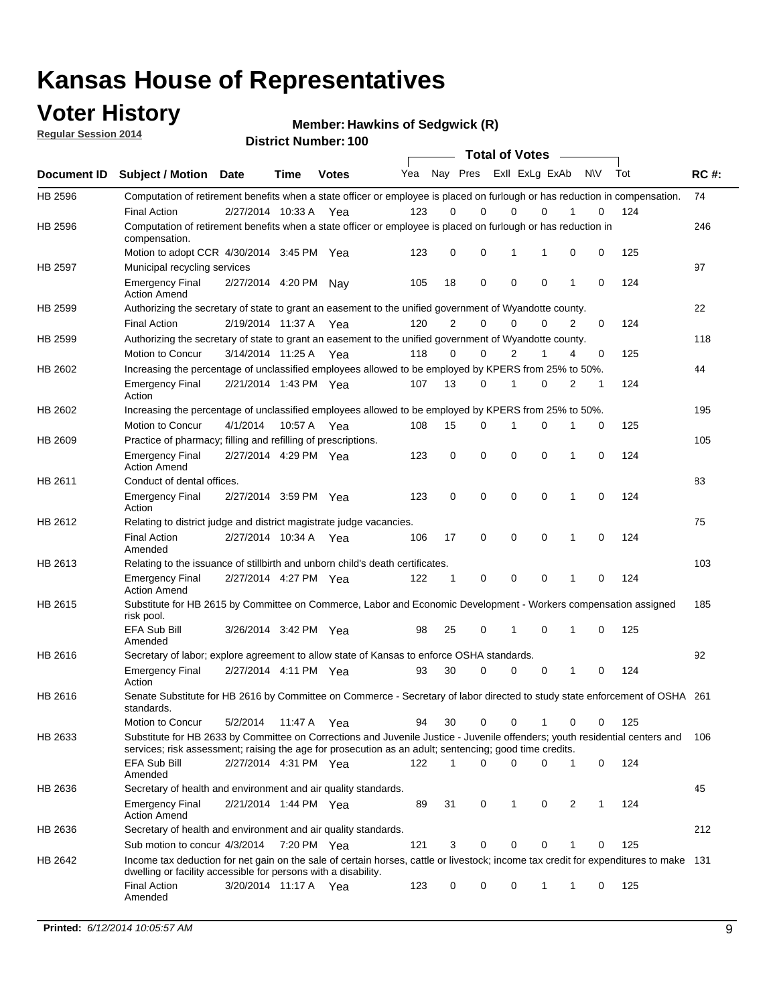### **Voter History**

**Regular Session 2014**

**Hawkins of Sedgwick (R)**

|             | טטו דסעוווטפו. ו<br><b>Total of Votes</b>                                                                                                                                                                                             |                       |             |              |     |                |             |                         |             |   |           |     |             |
|-------------|---------------------------------------------------------------------------------------------------------------------------------------------------------------------------------------------------------------------------------------|-----------------------|-------------|--------------|-----|----------------|-------------|-------------------------|-------------|---|-----------|-----|-------------|
| Document ID | <b>Subject / Motion Date</b>                                                                                                                                                                                                          |                       | Time        | <b>Votes</b> | Yea |                |             | Nay Pres ExII ExLg ExAb |             |   | <b>NV</b> | Tot | <b>RC#:</b> |
| HB 2596     | Computation of retirement benefits when a state officer or employee is placed on furlough or has reduction in compensation.                                                                                                           |                       |             |              |     |                |             |                         |             |   |           |     | 74          |
|             | <b>Final Action</b>                                                                                                                                                                                                                   | 2/27/2014 10:33 A     |             | Yea          | 123 | 0              | $\Omega$    | 0                       | 0           |   | 0         | 124 |             |
| HB 2596     | Computation of retirement benefits when a state officer or employee is placed on furlough or has reduction in<br>compensation.                                                                                                        |                       |             |              |     |                |             |                         |             |   |           |     | 246         |
|             | Motion to adopt CCR 4/30/2014 3:45 PM Yea                                                                                                                                                                                             |                       |             |              | 123 | 0              | $\mathbf 0$ | 1                       | 1           | 0 | 0         | 125 |             |
| HB 2597     | Municipal recycling services                                                                                                                                                                                                          |                       |             |              |     |                |             |                         |             |   |           |     | 97          |
|             | <b>Emergency Final</b><br><b>Action Amend</b>                                                                                                                                                                                         | 2/27/2014 4:20 PM     |             | Nav          | 105 | 18             | $\mathbf 0$ | $\mathbf 0$             | $\mathbf 0$ | 1 | 0         | 124 |             |
| HB 2599     | Authorizing the secretary of state to grant an easement to the unified government of Wyandotte county.                                                                                                                                |                       |             |              |     |                |             |                         |             |   |           |     | 22          |
|             | <b>Final Action</b>                                                                                                                                                                                                                   | 2/19/2014 11:37 A Yea |             |              | 120 | $\overline{2}$ | 0           | $\mathbf 0$             | 0           | 2 | 0         | 124 |             |
| HB 2599     | Authorizing the secretary of state to grant an easement to the unified government of Wyandotte county.                                                                                                                                |                       |             |              |     |                |             |                         |             |   |           |     | 118         |
|             | Motion to Concur                                                                                                                                                                                                                      | 3/14/2014 11:25 A Yea |             |              | 118 | 0              | 0           | $\overline{2}$          | 1           | 4 | 0         | 125 |             |
| HB 2602     | Increasing the percentage of unclassified employees allowed to be employed by KPERS from 25% to 50%.                                                                                                                                  |                       |             |              |     |                |             |                         |             |   |           |     | 44          |
|             | <b>Emergency Final</b><br>Action                                                                                                                                                                                                      | 2/21/2014 1:43 PM Yea |             |              | 107 | 13             | 0           | 1                       | 0           | 2 | 1         | 124 |             |
| HB 2602     | Increasing the percentage of unclassified employees allowed to be employed by KPERS from 25% to 50%.                                                                                                                                  |                       |             |              |     |                |             |                         |             |   |           |     | 195         |
|             | Motion to Concur                                                                                                                                                                                                                      | 4/1/2014              | 10:57 A     | Yea          | 108 | 15             | 0           | 1                       | 0           |   | 0         | 125 |             |
| HB 2609     | Practice of pharmacy; filling and refilling of prescriptions.                                                                                                                                                                         |                       |             |              |     |                |             |                         |             |   |           |     | 105         |
|             | <b>Emergency Final</b><br><b>Action Amend</b>                                                                                                                                                                                         | 2/27/2014 4:29 PM Yea |             |              | 123 | 0              | $\mathbf 0$ | $\mathbf 0$             | $\mathbf 0$ | 1 | 0         | 124 |             |
| HB 2611     | Conduct of dental offices.                                                                                                                                                                                                            |                       |             |              |     |                |             |                         |             |   |           |     | 83          |
|             | <b>Emergency Final</b><br>Action                                                                                                                                                                                                      | 2/27/2014 3:59 PM Yea |             |              | 123 | 0              | $\mathbf 0$ | $\mathbf 0$             | $\mathbf 0$ | 1 | 0         | 124 |             |
| HB 2612     | Relating to district judge and district magistrate judge vacancies.                                                                                                                                                                   |                       |             |              |     |                |             |                         |             |   |           |     | 75          |
|             | <b>Final Action</b><br>Amended                                                                                                                                                                                                        | 2/27/2014 10:34 A     |             | Yea          | 106 | 17             | $\mathbf 0$ | $\mathbf 0$             | $\mathbf 0$ | 1 | 0         | 124 |             |
| HB 2613     | Relating to the issuance of stillbirth and unborn child's death certificates.                                                                                                                                                         |                       |             |              |     |                |             |                         |             |   |           |     | 103         |
|             | <b>Emergency Final</b><br><b>Action Amend</b>                                                                                                                                                                                         | 2/27/2014 4:27 PM Yea |             |              | 122 | 1              | 0           | $\mathbf 0$             | $\Omega$    | 1 | 0         | 124 |             |
| HB 2615     | Substitute for HB 2615 by Committee on Commerce, Labor and Economic Development - Workers compensation assigned<br>risk pool.                                                                                                         |                       |             |              |     |                |             |                         |             |   |           |     | 185         |
|             | EFA Sub Bill<br>Amended                                                                                                                                                                                                               | 3/26/2014 3:42 PM Yea |             |              | 98  | 25             | 0           | 1                       | 0           | 1 | 0         | 125 |             |
| HB 2616     | Secretary of labor; explore agreement to allow state of Kansas to enforce OSHA standards.                                                                                                                                             |                       |             |              |     |                |             |                         |             |   |           |     | 92          |
|             | <b>Emergency Final</b><br>Action                                                                                                                                                                                                      | 2/27/2014 4:11 PM Yea |             |              | 93  | 30             | 0           | 0                       | 0           | 1 | 0         | 124 |             |
| HB 2616     | Senate Substitute for HB 2616 by Committee on Commerce - Secretary of labor directed to study state enforcement of OSHA 261<br>standards.                                                                                             |                       |             |              |     |                |             |                         |             |   |           |     |             |
|             | Motion to Concur                                                                                                                                                                                                                      | 5/2/2014              | 11:47 A Yea |              | 94  | 30             | 0           | 0                       | 1           | 0 | 0         | 125 |             |
| HB 2633     | Substitute for HB 2633 by Committee on Corrections and Juvenile Justice - Juvenile offenders; youth residential centers and<br>services; risk assessment; raising the age for prosecution as an adult; sentencing; good time credits. |                       |             |              |     |                |             |                         |             |   |           |     | 106         |
|             | EFA Sub Bill<br>Amended                                                                                                                                                                                                               | 2/27/2014 4:31 PM Yea |             |              | 122 | 1              | 0           | 0                       | 0           | 1 | 0         | 124 |             |
| HB 2636     | Secretary of health and environment and air quality standards.                                                                                                                                                                        |                       |             |              |     |                |             |                         |             |   |           |     | 45          |
|             | <b>Emergency Final</b><br><b>Action Amend</b>                                                                                                                                                                                         | 2/21/2014 1:44 PM Yea |             |              | 89  | 31             | 0           | 1                       | 0           | 2 | 1         | 124 |             |
| HB 2636     | Secretary of health and environment and air quality standards.                                                                                                                                                                        |                       |             |              |     |                |             |                         |             |   |           |     | 212         |
|             | Sub motion to concur 4/3/2014                                                                                                                                                                                                         |                       | 7:20 PM Yea |              | 121 | 3              | 0           | 0                       | 0           | 1 | 0         | 125 |             |
| HB 2642     | Income tax deduction for net gain on the sale of certain horses, cattle or livestock; income tax credit for expenditures to make 131<br>dwelling or facility accessible for persons with a disability.                                |                       |             |              |     |                |             |                         |             |   |           |     |             |
|             | <b>Final Action</b><br>Amended                                                                                                                                                                                                        | 3/20/2014 11:17 A Yea |             |              | 123 | 0              | 0           | 0                       | 1           | 1 | 0         | 125 |             |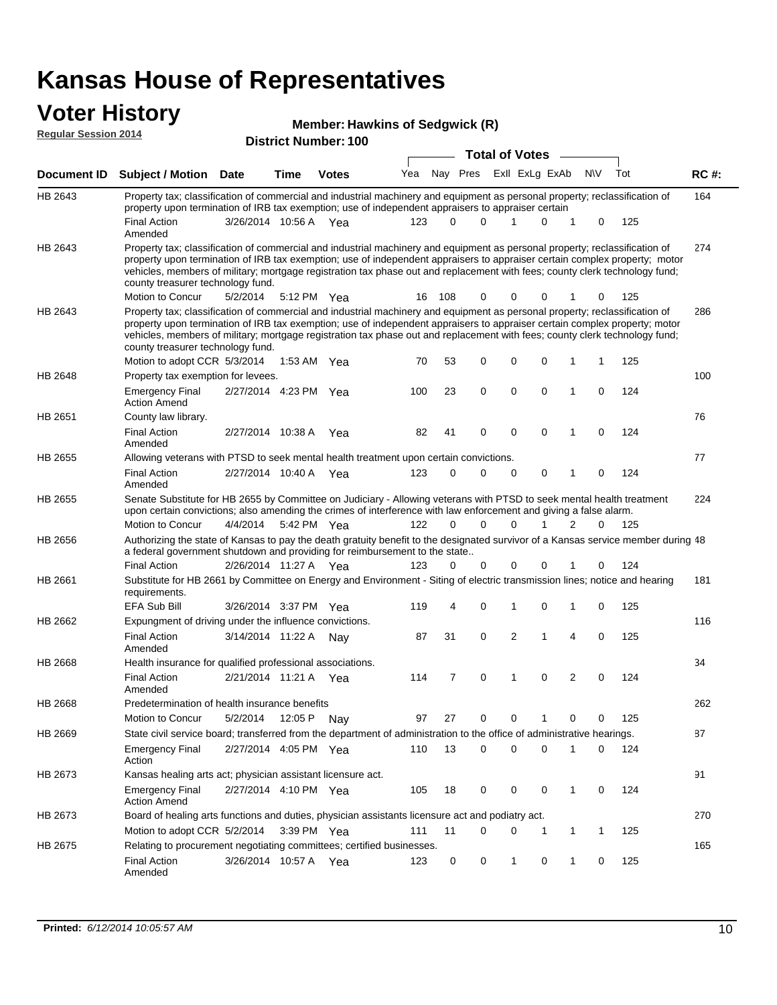#### **Voter History Regular Session 2014**

**Hawkins of Sedgwick (R)**

| דושב ווטופסטט ומוסף וח |                                                                                                                                                                                                                                                                                                                                                                                                                                                               |                       |             | <b>District Number: 100</b> |     |          |             |                       |                |   |             |     |             |
|------------------------|---------------------------------------------------------------------------------------------------------------------------------------------------------------------------------------------------------------------------------------------------------------------------------------------------------------------------------------------------------------------------------------------------------------------------------------------------------------|-----------------------|-------------|-----------------------------|-----|----------|-------------|-----------------------|----------------|---|-------------|-----|-------------|
|                        |                                                                                                                                                                                                                                                                                                                                                                                                                                                               |                       |             |                             |     |          |             | <b>Total of Votes</b> |                |   |             |     |             |
| <b>Document ID</b>     | <b>Subject / Motion Date</b>                                                                                                                                                                                                                                                                                                                                                                                                                                  |                       | <b>Time</b> | <b>Votes</b>                | Yea |          | Nay Pres    |                       | Exll ExLg ExAb |   | <b>NV</b>   | Tot | <b>RC#:</b> |
| HB 2643                | Property tax; classification of commercial and industrial machinery and equipment as personal property; reclassification of<br>property upon termination of IRB tax exemption; use of independent appraisers to appraiser certain                                                                                                                                                                                                                             |                       |             |                             |     |          |             |                       |                |   |             |     | 164         |
|                        | <b>Final Action</b><br>Amended                                                                                                                                                                                                                                                                                                                                                                                                                                | 3/26/2014 10:56 A Yea |             |                             | 123 | $\Omega$ | 0           | 1                     | 0              | 1 | 0           | 125 |             |
| HB 2643                | Property tax; classification of commercial and industrial machinery and equipment as personal property; reclassification of<br>property upon termination of IRB tax exemption; use of independent appraisers to appraiser certain complex property; motor<br>vehicles, members of military; mortgage registration tax phase out and replacement with fees; county clerk technology fund;<br>county treasurer technology fund.                                 |                       |             |                             |     |          |             |                       |                |   |             |     | 274         |
|                        | Motion to Concur                                                                                                                                                                                                                                                                                                                                                                                                                                              | 5/2/2014              |             | 5:12 PM Yea                 | 16  | 108      | 0           | 0                     | 0              |   | 0           | 125 |             |
| HB 2643                | Property tax; classification of commercial and industrial machinery and equipment as personal property; reclassification of<br>property upon termination of IRB tax exemption; use of independent appraisers to appraiser certain complex property; motor<br>vehicles, members of military; mortgage registration tax phase out and replacement with fees; county clerk technology fund;<br>county treasurer technology fund.<br>Motion to adopt CCR 5/3/2014 |                       |             | 1:53 AM Yea                 | 70  | 53       | 0           | 0                     | 0              | 1 | 1           | 125 | 286         |
| <b>HB 2648</b>         | Property tax exemption for levees.                                                                                                                                                                                                                                                                                                                                                                                                                            |                       |             |                             |     |          |             |                       |                |   |             |     | 100         |
|                        | <b>Emergency Final</b><br><b>Action Amend</b>                                                                                                                                                                                                                                                                                                                                                                                                                 | 2/27/2014 4:23 PM Yea |             |                             | 100 | 23       | 0           | $\mathbf 0$           | 0              | 1 | $\mathbf 0$ | 124 |             |
| HB 2651                | County law library.                                                                                                                                                                                                                                                                                                                                                                                                                                           |                       |             |                             |     |          |             |                       |                |   |             |     | 76          |
|                        | <b>Final Action</b><br>Amended                                                                                                                                                                                                                                                                                                                                                                                                                                | 2/27/2014 10:38 A     |             | Yea                         | 82  | 41       | $\mathbf 0$ | $\mathbf 0$           | $\Omega$       | 1 | $\Omega$    | 124 |             |
| HB 2655                | Allowing veterans with PTSD to seek mental health treatment upon certain convictions.                                                                                                                                                                                                                                                                                                                                                                         |                       |             |                             |     |          |             |                       |                |   |             |     | 77          |
|                        | <b>Final Action</b><br>Amended                                                                                                                                                                                                                                                                                                                                                                                                                                | 2/27/2014 10:40 A     |             | Yea                         | 123 | 0        | 0           | $\mathbf 0$           | 0              | 1 | 0           | 124 |             |
| HB 2655                | Senate Substitute for HB 2655 by Committee on Judiciary - Allowing veterans with PTSD to seek mental health treatment<br>upon certain convictions; also amending the crimes of interference with law enforcement and giving a false alarm.                                                                                                                                                                                                                    |                       |             |                             |     |          |             |                       |                |   |             |     | 224         |
|                        | Motion to Concur                                                                                                                                                                                                                                                                                                                                                                                                                                              | 4/4/2014              |             | 5:42 PM Yea                 | 122 | $\Omega$ | $\Omega$    | $\Omega$              | 1              | 2 | 0           | 125 |             |
| HB 2656                | Authorizing the state of Kansas to pay the death gratuity benefit to the designated survivor of a Kansas service member during 48<br>a federal government shutdown and providing for reimbursement to the state                                                                                                                                                                                                                                               |                       |             |                             |     |          |             |                       |                |   |             |     |             |
|                        | <b>Final Action</b>                                                                                                                                                                                                                                                                                                                                                                                                                                           | 2/26/2014 11:27 A Yea |             |                             | 123 | $\Omega$ | 0           | 0                     |                |   | 0           | 124 |             |
| HB 2661                | Substitute for HB 2661 by Committee on Energy and Environment - Siting of electric transmission lines; notice and hearing<br>requirements.<br>EFA Sub Bill                                                                                                                                                                                                                                                                                                    | 3/26/2014 3:37 PM Yea |             |                             | 119 | 4        | 0           | 1                     | 0              | 1 | 0           | 125 | 181         |
| HB 2662                | Expungment of driving under the influence convictions.                                                                                                                                                                                                                                                                                                                                                                                                        |                       |             |                             |     |          |             |                       |                |   |             |     | 116         |
|                        | <b>Final Action</b><br>Amended                                                                                                                                                                                                                                                                                                                                                                                                                                | 3/14/2014 11:22 A     |             | Nav                         | 87  | 31       | 0           | $\overline{2}$        | 1              | 4 | 0           | 125 |             |
| HB 2668                | Health insurance for qualified professional associations.                                                                                                                                                                                                                                                                                                                                                                                                     |                       |             |                             |     |          |             |                       |                |   |             |     | 34          |
|                        | <b>Final Action</b><br>Amended                                                                                                                                                                                                                                                                                                                                                                                                                                | 2/21/2014 11:21 A Yea |             |                             | 114 | 7        | $\mathbf 0$ | 1                     | 0              | 2 | 0           | 124 |             |
| HB 2668                | Predetermination of health insurance benefits                                                                                                                                                                                                                                                                                                                                                                                                                 |                       |             |                             |     |          |             |                       |                |   |             |     | 262         |
|                        | Motion to Concur                                                                                                                                                                                                                                                                                                                                                                                                                                              | 5/2/2014              |             | 12:05 P Nay                 | 97  | 27       | 0           | 0                     |                | 0 | 0           | 125 |             |
| HB 2669                | State civil service board; transferred from the department of administration to the office of administrative hearings.                                                                                                                                                                                                                                                                                                                                        |                       |             |                             |     |          |             |                       |                |   |             |     | 87          |
|                        | <b>Emergency Final</b><br>Action                                                                                                                                                                                                                                                                                                                                                                                                                              | 2/27/2014 4:05 PM Yea |             |                             | 110 | 13       | 0           | 0                     | 0              |   | 0           | 124 |             |
| HB 2673                | Kansas healing arts act; physician assistant licensure act.                                                                                                                                                                                                                                                                                                                                                                                                   |                       |             |                             |     |          |             |                       |                |   |             |     | 91          |
|                        | <b>Emergency Final</b><br><b>Action Amend</b>                                                                                                                                                                                                                                                                                                                                                                                                                 | 2/27/2014 4:10 PM Yea |             |                             | 105 | 18       | 0           | 0                     | 0              | 1 | 0           | 124 |             |
| HB 2673                | Board of healing arts functions and duties, physician assistants licensure act and podiatry act.                                                                                                                                                                                                                                                                                                                                                              |                       |             |                             |     |          |             |                       |                |   |             |     | 270         |
|                        | Motion to adopt CCR 5/2/2014                                                                                                                                                                                                                                                                                                                                                                                                                                  |                       |             | 3:39 PM Yea                 | 111 | 11       | 0           | 0                     | 1              | 1 | 1           | 125 |             |
| HB 2675                | Relating to procurement negotiating committees; certified businesses.                                                                                                                                                                                                                                                                                                                                                                                         |                       |             |                             |     |          |             |                       |                |   |             |     | 165         |
|                        | <b>Final Action</b><br>Amended                                                                                                                                                                                                                                                                                                                                                                                                                                | 3/26/2014 10:57 A Yea |             |                             | 123 | 0        | 0           | 1                     | 0              | 1 | 0           | 125 |             |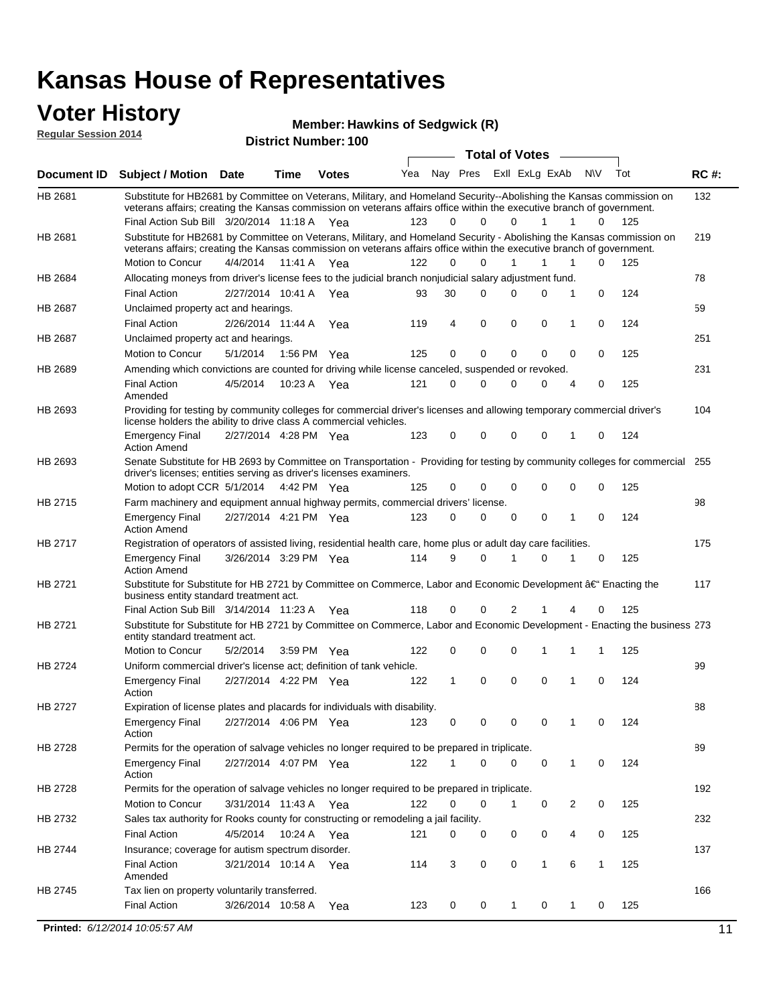### **Voter History**

**Regular Session 2014**

#### **Hawkins of Sedgwick (R)**

| <b>District Number: 100</b> |  |
|-----------------------------|--|
|                             |  |

|                |                                                                                                                                                                                                                                                 |                       |             |              |     |          |             | <b>Total of Votes</b> | $\sim$       |                |              |     |             |
|----------------|-------------------------------------------------------------------------------------------------------------------------------------------------------------------------------------------------------------------------------------------------|-----------------------|-------------|--------------|-----|----------|-------------|-----------------------|--------------|----------------|--------------|-----|-------------|
|                | Document ID Subject / Motion Date                                                                                                                                                                                                               |                       | Time        | <b>Votes</b> | Yea | Nay Pres |             | Exll ExLg ExAb        |              |                | <b>NV</b>    | Tot | <b>RC#:</b> |
| HB 2681        | Substitute for HB2681 by Committee on Veterans, Military, and Homeland Security--Abolishing the Kansas commission on<br>veterans affairs; creating the Kansas commission on veterans affairs office within the executive branch of government.  |                       |             |              |     |          |             |                       |              |                |              |     | 132         |
|                | Final Action Sub Bill 3/20/2014 11:18 A Yea                                                                                                                                                                                                     |                       |             |              | 123 | 0        | $\Omega$    | $\Omega$              | $\mathbf{1}$ | 1              | 0            | 125 |             |
| HB 2681        | Substitute for HB2681 by Committee on Veterans, Military, and Homeland Security - Abolishing the Kansas commission on<br>veterans affairs; creating the Kansas commission on veterans affairs office within the executive branch of government. |                       |             |              |     |          |             |                       |              |                |              |     | 219         |
|                | Motion to Concur                                                                                                                                                                                                                                | 4/4/2014 11:41 A Yea  |             |              | 122 | 0        | 0           |                       | 1            | 1              | 0            | 125 |             |
| HB 2684        | Allocating moneys from driver's license fees to the judicial branch nonjudicial salary adjustment fund.                                                                                                                                         |                       |             |              |     |          |             |                       |              |                |              |     | 78          |
|                | <b>Final Action</b>                                                                                                                                                                                                                             | 2/27/2014 10:41 A Yea |             |              | 93  | 30       | 0           | 0                     | $\Omega$     | 1              | 0            | 124 |             |
| <b>HB 2687</b> | Unclaimed property act and hearings.                                                                                                                                                                                                            |                       |             |              |     |          |             |                       |              |                |              |     | 59          |
|                | <b>Final Action</b>                                                                                                                                                                                                                             | 2/26/2014 11:44 A     |             | Yea          | 119 | 4        | $\mathbf 0$ | 0                     | 0            | 1              | 0            | 124 |             |
| <b>HB 2687</b> | Unclaimed property act and hearings.                                                                                                                                                                                                            |                       |             |              |     |          |             |                       |              |                |              |     | 251         |
|                | Motion to Concur                                                                                                                                                                                                                                | 5/1/2014              | 1:56 PM Yea |              | 125 | 0        | $\mathbf 0$ | $\mathbf 0$           | $\Omega$     | 0              | 0            | 125 |             |
| HB 2689        | Amending which convictions are counted for driving while license canceled, suspended or revoked.                                                                                                                                                |                       |             |              |     |          |             |                       |              |                |              |     | 231         |
|                | <b>Final Action</b><br>Amended                                                                                                                                                                                                                  | 4/5/2014              | 10:23 A Yea |              | 121 | 0        | 0           | 0                     | 0            | $\overline{4}$ | 0            | 125 |             |
| HB 2693        | Providing for testing by community colleges for commercial driver's licenses and allowing temporary commercial driver's<br>license holders the ability to drive class A commercial vehicles.                                                    |                       |             |              |     |          |             |                       |              |                |              |     | 104         |
|                | <b>Emergency Final</b><br><b>Action Amend</b>                                                                                                                                                                                                   | 2/27/2014 4:28 PM Yea |             |              | 123 | 0        | 0           | 0                     | 0            | 1              | 0            | 124 |             |
| HB 2693        | Senate Substitute for HB 2693 by Committee on Transportation - Providing for testing by community colleges for commercial<br>driver's licenses; entities serving as driver's licenses examiners.                                                |                       |             |              |     |          |             |                       |              |                |              |     | 255         |
|                | Motion to adopt CCR 5/1/2014 4:42 PM Yea                                                                                                                                                                                                        |                       |             |              | 125 | 0        | 0           | 0                     | 0            | 0              | 0            | 125 |             |
| HB 2715        | Farm machinery and equipment annual highway permits, commercial drivers' license.                                                                                                                                                               |                       |             |              |     |          |             |                       |              |                |              |     | 98          |
|                | <b>Emergency Final</b><br><b>Action Amend</b>                                                                                                                                                                                                   | 2/27/2014 4:21 PM Yea |             |              | 123 | 0        | $\Omega$    | $\Omega$              | 0            | 1              | 0            | 124 |             |
| HB 2717        | Registration of operators of assisted living, residential health care, home plus or adult day care facilities.                                                                                                                                  |                       |             |              |     |          |             |                       |              |                |              |     | 175         |
|                | <b>Emergency Final</b><br><b>Action Amend</b>                                                                                                                                                                                                   | 3/26/2014 3:29 PM Yea |             |              | 114 | 9        | $\Omega$    | 1                     | 0            | 1              | 0            | 125 |             |
| HB 2721        | Substitute for Substitute for HB 2721 by Committee on Commerce, Labor and Economic Development †Enacting the<br>business entity standard treatment act.                                                                                         |                       |             |              |     |          |             |                       |              |                |              |     | 117         |
|                | Final Action Sub Bill 3/14/2014 11:23 A Yea                                                                                                                                                                                                     |                       |             |              | 118 | 0        | 0           | 2                     | 1            | 4              | 0            | 125 |             |
| HB 2721        | Substitute for Substitute for HB 2721 by Committee on Commerce, Labor and Economic Development - Enacting the business 273<br>entity standard treatment act.                                                                                    |                       |             |              |     |          |             |                       |              |                |              |     |             |
|                | Motion to Concur                                                                                                                                                                                                                                | 5/2/2014              | 3:59 PM Yea |              | 122 | 0        | 0           | 0                     | 1            | 1              | 1            | 125 |             |
| HB 2724        | Uniform commercial driver's license act; definition of tank vehicle.                                                                                                                                                                            |                       |             |              |     |          |             |                       |              |                |              |     | 99          |
|                | <b>Emergency Final</b><br>Action                                                                                                                                                                                                                | 2/27/2014 4:22 PM Yea |             |              | 122 | 1        | $\mathbf 0$ | $\mathbf 0$           | 0            | 1              | 0            | 124 |             |
| HB 2727        | Expiration of license plates and placards for individuals with disability.                                                                                                                                                                      |                       |             |              |     |          |             |                       |              |                |              |     | 88          |
|                | Emergency Final<br>Action                                                                                                                                                                                                                       | 2/27/2014 4:06 PM Yea |             |              | 123 | 0        | 0           | 0                     | 0            | 1              | 0            | 124 |             |
| HB 2728        | Permits for the operation of salvage vehicles no longer required to be prepared in triplicate.                                                                                                                                                  |                       |             |              |     |          |             |                       |              |                |              |     | 89          |
|                | <b>Emergency Final</b><br>Action                                                                                                                                                                                                                | 2/27/2014 4:07 PM Yea |             |              | 122 | 1        | 0           | 0                     | 0            | 1              | 0            | 124 |             |
| HB 2728        | Permits for the operation of salvage vehicles no longer required to be prepared in triplicate.                                                                                                                                                  |                       |             |              |     |          |             |                       |              |                |              |     | 192         |
|                | Motion to Concur                                                                                                                                                                                                                                | 3/31/2014 11:43 A Yea |             |              | 122 | 0        | 0           | $\mathbf{1}$          | 0            | 2              | 0            | 125 |             |
| HB 2732        | Sales tax authority for Rooks county for constructing or remodeling a jail facility.                                                                                                                                                            |                       |             |              |     |          |             |                       |              |                |              |     | 232         |
|                | <b>Final Action</b>                                                                                                                                                                                                                             | 4/5/2014 10:24 A Yea  |             |              | 121 | 0        | 0           | 0                     | 0            | 4              | 0            | 125 |             |
| HB 2744        | Insurance; coverage for autism spectrum disorder.                                                                                                                                                                                               |                       |             |              |     |          |             |                       |              |                |              |     | 137         |
|                | <b>Final Action</b>                                                                                                                                                                                                                             | 3/21/2014 10:14 A Yea |             |              | 114 | 3        | 0           | 0                     | $\mathbf{1}$ | 6              | $\mathbf{1}$ | 125 |             |
|                | Amended                                                                                                                                                                                                                                         |                       |             |              |     |          |             |                       |              |                |              |     |             |
| HB 2745        | Tax lien on property voluntarily transferred.                                                                                                                                                                                                   |                       |             |              |     |          |             |                       |              |                |              |     | 166         |
|                | <b>Final Action</b>                                                                                                                                                                                                                             | 3/26/2014 10:58 A     |             | Yea          | 123 | 0        | 0           | 1                     | 0            | $\mathbf{1}$   | 0            | 125 |             |
|                | <b>Printed: 6/12/2014 10:05:57 AM</b>                                                                                                                                                                                                           |                       |             |              |     |          |             |                       |              |                |              |     | 11          |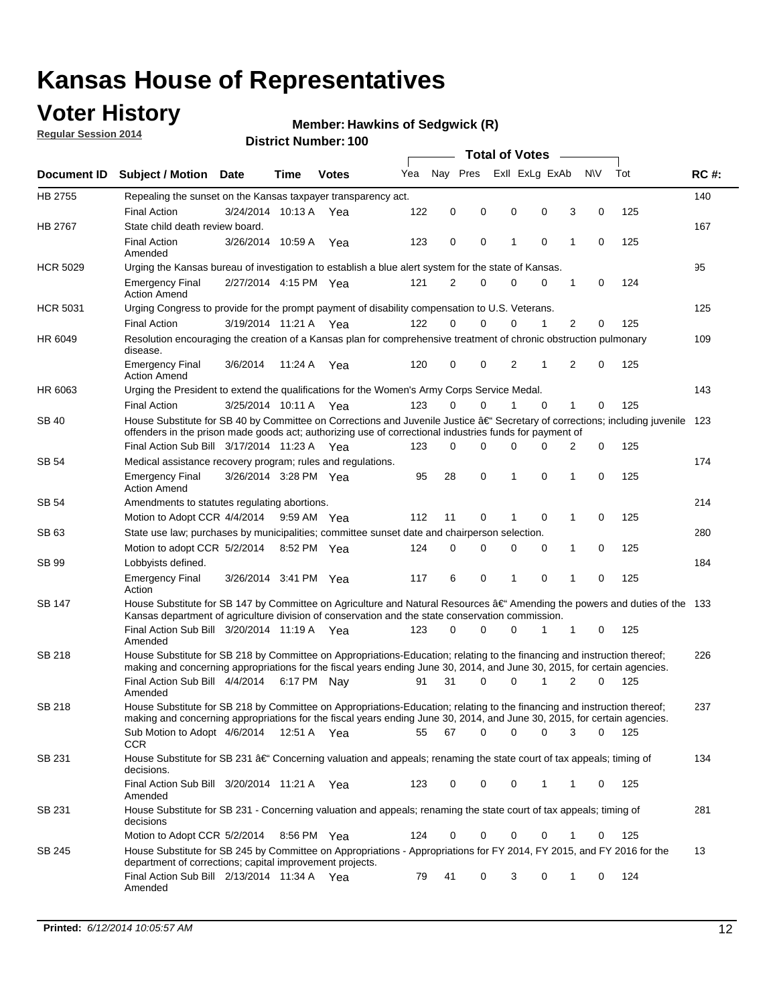### **Voter History**

**Regular Session 2014**

#### **Hawkins of Sedgwick (R)**

|                    |                                                                                                                                                                                                                                      |                       |             |              |     |          |          | <b>Total of Votes</b> |                |                |          |     |             |
|--------------------|--------------------------------------------------------------------------------------------------------------------------------------------------------------------------------------------------------------------------------------|-----------------------|-------------|--------------|-----|----------|----------|-----------------------|----------------|----------------|----------|-----|-------------|
| <b>Document ID</b> | <b>Subject / Motion Date</b>                                                                                                                                                                                                         |                       | Time        | <b>Votes</b> | Yea | Nay Pres |          |                       | Exll ExLg ExAb | N\V            |          | Tot | <b>RC#:</b> |
| HB 2755            | Repealing the sunset on the Kansas taxpayer transparency act.                                                                                                                                                                        |                       |             |              |     |          |          |                       |                |                |          |     | 140         |
|                    | <b>Final Action</b>                                                                                                                                                                                                                  | 3/24/2014 10:13 A     |             | Yea          | 122 | 0        | 0        | 0                     | 0              | 3              | 0        | 125 |             |
| HB 2767            | State child death review board.                                                                                                                                                                                                      |                       |             |              |     |          |          |                       |                |                |          |     | 167         |
|                    | <b>Final Action</b><br>Amended                                                                                                                                                                                                       | 3/26/2014 10:59 A     |             | Yea          | 123 | 0        | 0        | 1                     | $\mathbf 0$    | 1              | 0        | 125 |             |
| <b>HCR 5029</b>    | Urging the Kansas bureau of investigation to establish a blue alert system for the state of Kansas.                                                                                                                                  |                       |             |              |     |          |          |                       |                |                |          |     | 95          |
|                    | <b>Emergency Final</b><br><b>Action Amend</b>                                                                                                                                                                                        | 2/27/2014 4:15 PM Yea |             |              | 121 | 2        | 0        | 0                     | 0              | 1              | 0        | 124 |             |
| <b>HCR 5031</b>    | Urging Congress to provide for the prompt payment of disability compensation to U.S. Veterans.                                                                                                                                       |                       |             |              |     |          |          |                       |                |                |          |     | 125         |
|                    | <b>Final Action</b>                                                                                                                                                                                                                  | 3/19/2014 11:21 A Yea |             |              | 122 | $\Omega$ | 0        | 0                     | 1              | 2              | 0        | 125 |             |
| HR 6049            | Resolution encouraging the creation of a Kansas plan for comprehensive treatment of chronic obstruction pulmonary<br>disease.                                                                                                        |                       |             |              |     |          |          |                       |                |                |          |     | 109         |
|                    | <b>Emergency Final</b><br><b>Action Amend</b>                                                                                                                                                                                        | 3/6/2014              | 11:24 A     | Yea          | 120 | 0        | 0        | 2                     | 1              | $\overline{2}$ | 0        | 125 |             |
| HR 6063            | Urging the President to extend the qualifications for the Women's Army Corps Service Medal.                                                                                                                                          |                       |             |              |     |          |          |                       |                |                |          |     | 143         |
|                    | <b>Final Action</b>                                                                                                                                                                                                                  | 3/25/2014 10:11 A Yea |             |              | 123 | $\Omega$ | $\Omega$ | 1                     | $\Omega$       | 1              | 0        | 125 |             |
| SB 40              | House Substitute for SB 40 by Committee on Corrections and Juvenile Justice †Secretary of corrections; including juvenile<br>offenders in the prison made goods act; authorizing use of correctional industries funds for payment of |                       |             |              |     |          |          |                       |                |                |          |     | 123         |
|                    | Final Action Sub Bill 3/17/2014 11:23 A Yea                                                                                                                                                                                          |                       |             |              | 123 | 0        | 0        | $\Omega$              | $\Omega$       | 2              | 0        | 125 |             |
| SB 54              | Medical assistance recovery program; rules and regulations.                                                                                                                                                                          |                       |             |              |     |          |          |                       |                |                |          |     | 174         |
|                    | <b>Emergency Final</b><br><b>Action Amend</b>                                                                                                                                                                                        | 3/26/2014 3:28 PM Yea |             |              | 95  | 28       | 0        | 1                     | $\mathbf 0$    | 1              | 0        | 125 |             |
| SB 54              | Amendments to statutes regulating abortions.                                                                                                                                                                                         |                       |             |              |     |          |          |                       |                |                |          |     | 214         |
|                    | Motion to Adopt CCR 4/4/2014                                                                                                                                                                                                         |                       |             | 9:59 AM Yea  | 112 | 11       | 0        | 1                     | $\mathbf 0$    | 1              | 0        | 125 |             |
| SB 63              | State use law; purchases by municipalities; committee sunset date and chairperson selection.                                                                                                                                         |                       |             |              |     |          |          |                       |                |                |          |     | 280         |
|                    | Motion to adopt CCR 5/2/2014                                                                                                                                                                                                         |                       |             | 8:52 PM Yea  | 124 | 0        | 0        | 0                     | $\mathbf 0$    | 1              | 0        | 125 |             |
| <b>SB 99</b>       | Lobbyists defined.                                                                                                                                                                                                                   |                       |             |              |     |          |          |                       |                |                |          |     | 184         |
|                    | <b>Emergency Final</b><br>Action                                                                                                                                                                                                     | 3/26/2014 3:41 PM Yea |             |              | 117 | 6        | 0        | 1                     | $\mathbf 0$    | 1              | 0        | 125 |             |
| SB 147             | House Substitute for SB 147 by Committee on Agriculture and Natural Resources †Amending the powers and duties of the 133<br>Kansas department of agriculture division of conservation and the state conservation commission.         |                       |             |              |     |          |          |                       |                |                |          |     |             |
|                    | Final Action Sub Bill 3/20/2014 11:19 A Yea<br>Amended                                                                                                                                                                               |                       |             |              | 123 | 0        | 0        | 0                     | 1              | 1              | 0        | 125 |             |
| <b>SB 218</b>      | House Substitute for SB 218 by Committee on Appropriations-Education; relating to the financing and instruction thereof;                                                                                                             |                       |             |              |     |          |          |                       |                |                |          |     | 226         |
|                    | making and concerning appropriations for the fiscal years ending June 30, 2014, and June 30, 2015, for certain agencies.<br>Final Action Sub Bill 4/4/2014                                                                           |                       | 6:17 PM Nay |              | 91  | 31       | $\Omega$ | 0                     | 1              | $\overline{2}$ | $\Omega$ | 125 |             |
|                    | Amended                                                                                                                                                                                                                              |                       |             |              |     |          |          |                       |                |                |          |     |             |
| <b>SB 218</b>      | House Substitute for SB 218 by Committee on Appropriations-Education; relating to the financing and instruction thereof;                                                                                                             |                       |             |              |     |          |          |                       |                |                |          |     | 237         |
|                    | making and concerning appropriations for the fiscal years ending June 30, 2014, and June 30, 2015, for certain agencies.                                                                                                             |                       |             |              |     |          |          |                       |                |                |          |     |             |
|                    | Sub Motion to Adopt 4/6/2014 12:51 A Yea                                                                                                                                                                                             |                       |             |              | 55  | 67       | 0        | 0                     | 0              | 3              | 0        | 125 |             |
| SB 231             | <b>CCR</b><br>House Substitute for SB 231 †Concerning valuation and appeals; renaming the state court of tax appeals; timing of                                                                                                      |                       |             |              |     |          |          |                       |                |                |          |     | 134         |
|                    | decisions.<br>Final Action Sub Bill 3/20/2014 11:21 A Yea                                                                                                                                                                            |                       |             |              | 123 | 0        | 0        | 0                     | $\mathbf{1}$   | 1              | 0        | 125 |             |
|                    | Amended                                                                                                                                                                                                                              |                       |             |              |     |          |          |                       |                |                |          |     |             |
| SB 231             | House Substitute for SB 231 - Concerning valuation and appeals; renaming the state court of tax appeals; timing of<br>decisions                                                                                                      |                       |             |              |     |          |          |                       |                |                |          |     | 281         |
|                    | Motion to Adopt CCR 5/2/2014 8:56 PM Yea                                                                                                                                                                                             |                       |             |              | 124 | 0        | 0        | 0                     | $\mathbf 0$    | 1              | 0        | 125 |             |
| SB 245             | House Substitute for SB 245 by Committee on Appropriations - Appropriations for FY 2014, FY 2015, and FY 2016 for the<br>department of corrections; capital improvement projects.                                                    |                       |             |              |     |          |          |                       |                |                |          |     | 13          |
|                    | Final Action Sub Bill 2/13/2014 11:34 A Yea<br>Amended                                                                                                                                                                               |                       |             |              | 79  | 41       | 0        | 3                     | 0              | 1              | 0        | 124 |             |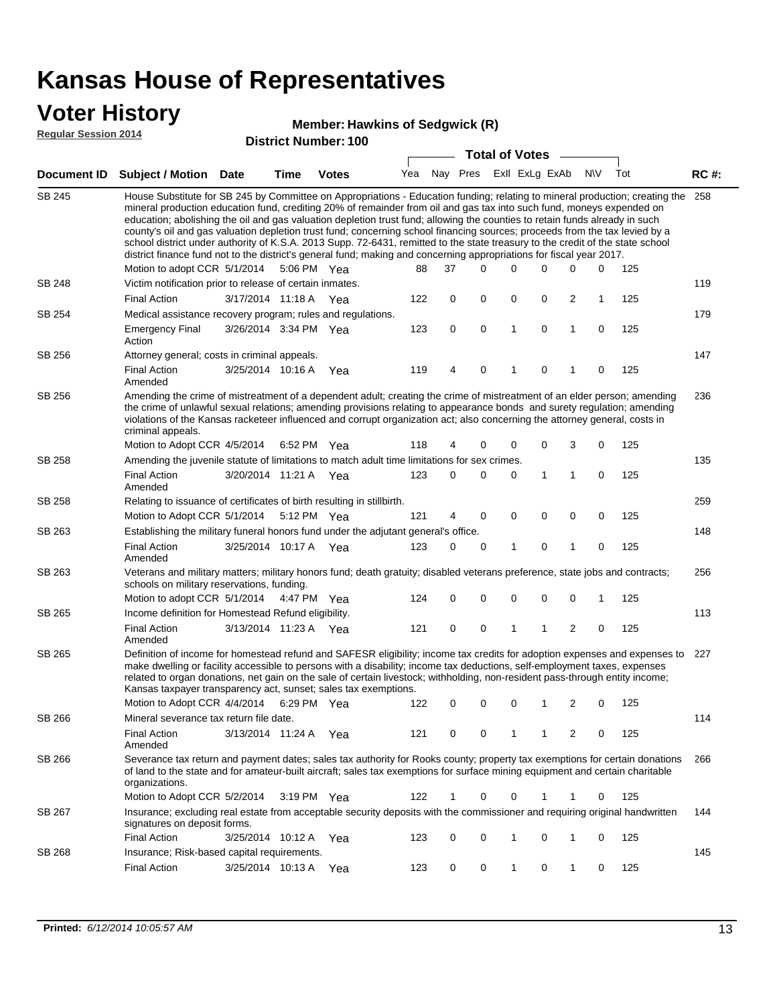### **Voter History**

#### **Hawkins of Sedgwick (R)**

**Regular Session 2014**

|        |                                                                                                                                                                                                                                                                                                                                                                                                                                                                                                                                                                                                                                                                                                                                                                               |                       |      |              |     |    |          | <b>Total of Votes</b> |             |                         |           |     |             |
|--------|-------------------------------------------------------------------------------------------------------------------------------------------------------------------------------------------------------------------------------------------------------------------------------------------------------------------------------------------------------------------------------------------------------------------------------------------------------------------------------------------------------------------------------------------------------------------------------------------------------------------------------------------------------------------------------------------------------------------------------------------------------------------------------|-----------------------|------|--------------|-----|----|----------|-----------------------|-------------|-------------------------|-----------|-----|-------------|
|        | Document ID Subject / Motion Date                                                                                                                                                                                                                                                                                                                                                                                                                                                                                                                                                                                                                                                                                                                                             |                       | Time | <b>Votes</b> | Yea |    | Nay Pres | Exll ExLg ExAb        |             |                         | <b>NV</b> | Tot | <b>RC#:</b> |
| SB 245 | House Substitute for SB 245 by Committee on Appropriations - Education funding; relating to mineral production; creating the<br>mineral production education fund, crediting 20% of remainder from oil and gas tax into such fund, moneys expended on<br>education; abolishing the oil and gas valuation depletion trust fund; allowing the counties to retain funds already in such<br>county's oil and gas valuation depletion trust fund; concerning school financing sources; proceeds from the tax levied by a<br>school district under authority of K.S.A. 2013 Supp. 72-6431, remitted to the state treasury to the credit of the state school<br>district finance fund not to the district's general fund; making and concerning appropriations for fiscal year 2017. |                       |      |              |     |    |          |                       |             |                         |           |     | 258         |
|        | Motion to adopt CCR 5/1/2014                                                                                                                                                                                                                                                                                                                                                                                                                                                                                                                                                                                                                                                                                                                                                  |                       |      | 5:06 PM Yea  | 88  | 37 | 0        | $\Omega$              | 0           | 0                       | 0         | 125 |             |
| SB 248 | Victim notification prior to release of certain inmates.                                                                                                                                                                                                                                                                                                                                                                                                                                                                                                                                                                                                                                                                                                                      |                       |      |              |     |    |          |                       |             |                         |           |     | 119         |
|        | <b>Final Action</b>                                                                                                                                                                                                                                                                                                                                                                                                                                                                                                                                                                                                                                                                                                                                                           | 3/17/2014 11:18 A Yea |      |              | 122 | 0  | 0        | 0                     | 0           | $\overline{\mathbf{c}}$ | 1         | 125 |             |
| SB 254 | Medical assistance recovery program; rules and regulations.                                                                                                                                                                                                                                                                                                                                                                                                                                                                                                                                                                                                                                                                                                                   |                       |      |              |     |    |          |                       |             |                         |           |     | 179         |
|        | <b>Emergency Final</b><br>Action                                                                                                                                                                                                                                                                                                                                                                                                                                                                                                                                                                                                                                                                                                                                              | 3/26/2014 3:34 PM Yea |      |              | 123 | 0  | 0        | $\mathbf{1}$          | 0           | 1                       | 0         | 125 |             |
| SB 256 | Attorney general; costs in criminal appeals.                                                                                                                                                                                                                                                                                                                                                                                                                                                                                                                                                                                                                                                                                                                                  |                       |      |              |     |    |          |                       |             |                         |           |     | 147         |
|        | <b>Final Action</b><br>Amended                                                                                                                                                                                                                                                                                                                                                                                                                                                                                                                                                                                                                                                                                                                                                | 3/25/2014 10:16 A     |      | Yea          | 119 | 4  | 0        | 1                     | 0           | 1                       | 0         | 125 |             |
| SB 256 | Amending the crime of mistreatment of a dependent adult; creating the crime of mistreatment of an elder person; amending<br>the crime of unlawful sexual relations; amending provisions relating to appearance bonds and surety regulation; amending<br>violations of the Kansas racketeer influenced and corrupt organization act; also concerning the attorney general, costs in<br>criminal appeals.                                                                                                                                                                                                                                                                                                                                                                       |                       |      |              |     |    |          |                       |             |                         |           |     | 236         |
|        | Motion to Adopt CCR 4/5/2014                                                                                                                                                                                                                                                                                                                                                                                                                                                                                                                                                                                                                                                                                                                                                  |                       |      | 6:52 PM Yea  | 118 | 4  | 0        | 0                     | 0           | 3                       | 0         | 125 |             |
| SB 258 | Amending the juvenile statute of limitations to match adult time limitations for sex crimes.                                                                                                                                                                                                                                                                                                                                                                                                                                                                                                                                                                                                                                                                                  |                       |      |              |     |    |          |                       |             |                         |           |     | 135         |
|        | <b>Final Action</b><br>Amended                                                                                                                                                                                                                                                                                                                                                                                                                                                                                                                                                                                                                                                                                                                                                | 3/20/2014 11:21 A Yea |      |              | 123 | 0  | 0        | 0                     | 1           | $\mathbf{1}$            | 0         | 125 |             |
| SB 258 | Relating to issuance of certificates of birth resulting in stillbirth.                                                                                                                                                                                                                                                                                                                                                                                                                                                                                                                                                                                                                                                                                                        |                       |      |              |     |    |          |                       |             |                         |           |     | 259         |
|        | Motion to Adopt CCR 5/1/2014                                                                                                                                                                                                                                                                                                                                                                                                                                                                                                                                                                                                                                                                                                                                                  |                       |      | 5:12 PM Yea  | 121 | 4  | 0        | 0                     | $\mathbf 0$ | 0                       | 0         | 125 |             |
| SB 263 | Establishing the military funeral honors fund under the adjutant general's office.                                                                                                                                                                                                                                                                                                                                                                                                                                                                                                                                                                                                                                                                                            |                       |      |              |     |    |          |                       |             |                         |           |     | 148         |
|        | <b>Final Action</b><br>Amended                                                                                                                                                                                                                                                                                                                                                                                                                                                                                                                                                                                                                                                                                                                                                | 3/25/2014 10:17 A Yea |      |              | 123 | 0  | 0        | 1                     | 0           | 1                       | 0         | 125 |             |
| SB 263 | Veterans and military matters; military honors fund; death gratuity; disabled veterans preference, state jobs and contracts;<br>schools on military reservations, funding.                                                                                                                                                                                                                                                                                                                                                                                                                                                                                                                                                                                                    |                       |      |              |     |    |          |                       |             |                         |           |     | 256         |
|        | Motion to adopt CCR 5/1/2014                                                                                                                                                                                                                                                                                                                                                                                                                                                                                                                                                                                                                                                                                                                                                  |                       |      | 4:47 PM Yea  | 124 | 0  | 0        | 0                     | 0           | 0                       | 1         | 125 |             |
| SB 265 | Income definition for Homestead Refund eligibility.                                                                                                                                                                                                                                                                                                                                                                                                                                                                                                                                                                                                                                                                                                                           |                       |      |              |     |    |          |                       |             |                         |           |     | 113         |
|        | <b>Final Action</b><br>Amended                                                                                                                                                                                                                                                                                                                                                                                                                                                                                                                                                                                                                                                                                                                                                | 3/13/2014 11:23 A Yea |      |              | 121 | 0  | 0        | 1                     | 1           | $\overline{2}$          | 0         | 125 |             |
| SB 265 | Definition of income for homestead refund and SAFESR eligibility; income tax credits for adoption expenses and expenses to<br>make dwelling or facility accessible to persons with a disability; income tax deductions, self-employment taxes, expenses<br>related to organ donations, net gain on the sale of certain livestock; withholding, non-resident pass-through entity income;<br>Kansas taxpayer transparency act, sunset; sales tax exemptions.                                                                                                                                                                                                                                                                                                                    |                       |      |              |     |    |          |                       |             |                         |           |     | 227         |
|        | Motion to Adopt CCR 4/4/2014 6:29 PM Yea                                                                                                                                                                                                                                                                                                                                                                                                                                                                                                                                                                                                                                                                                                                                      |                       |      |              | 122 | 0  | 0        | 0                     | 1           | 2                       | 0         | 125 |             |
| SB 266 | Mineral severance tax return file date.                                                                                                                                                                                                                                                                                                                                                                                                                                                                                                                                                                                                                                                                                                                                       |                       |      |              |     |    |          |                       |             |                         |           |     | 114         |
|        | <b>Final Action</b><br>Amended                                                                                                                                                                                                                                                                                                                                                                                                                                                                                                                                                                                                                                                                                                                                                | 3/13/2014 11:24 A Yea |      |              | 121 | 0  | 0        | 1                     | 1           | 2                       | 0         | 125 |             |
| SB 266 | Severance tax return and payment dates; sales tax authority for Rooks county; property tax exemptions for certain donations<br>of land to the state and for amateur-built aircraft; sales tax exemptions for surface mining equipment and certain charitable<br>organizations.                                                                                                                                                                                                                                                                                                                                                                                                                                                                                                |                       |      |              |     |    |          |                       |             |                         |           |     | 266         |
|        | Motion to Adopt CCR 5/2/2014                                                                                                                                                                                                                                                                                                                                                                                                                                                                                                                                                                                                                                                                                                                                                  |                       |      | 3:19 PM Yea  | 122 | 1  | 0        | 0                     | 1           | 1                       | 0         | 125 |             |
| SB 267 | Insurance; excluding real estate from acceptable security deposits with the commissioner and requiring original handwritten<br>signatures on deposit forms.                                                                                                                                                                                                                                                                                                                                                                                                                                                                                                                                                                                                                   |                       |      |              |     |    |          |                       |             |                         |           |     | 144         |
|        | <b>Final Action</b>                                                                                                                                                                                                                                                                                                                                                                                                                                                                                                                                                                                                                                                                                                                                                           | 3/25/2014 10:12 A Yea |      |              | 123 | 0  | 0        | 1                     | 0           | 1                       | 0         | 125 |             |
| SB 268 | Insurance; Risk-based capital requirements.                                                                                                                                                                                                                                                                                                                                                                                                                                                                                                                                                                                                                                                                                                                                   |                       |      |              |     |    |          |                       |             |                         |           |     | 145         |
|        | Final Action                                                                                                                                                                                                                                                                                                                                                                                                                                                                                                                                                                                                                                                                                                                                                                  | 3/25/2014 10:13 A     |      | Yea          | 123 | 0  | 0        | 1                     | 0           | 1                       | 0         | 125 |             |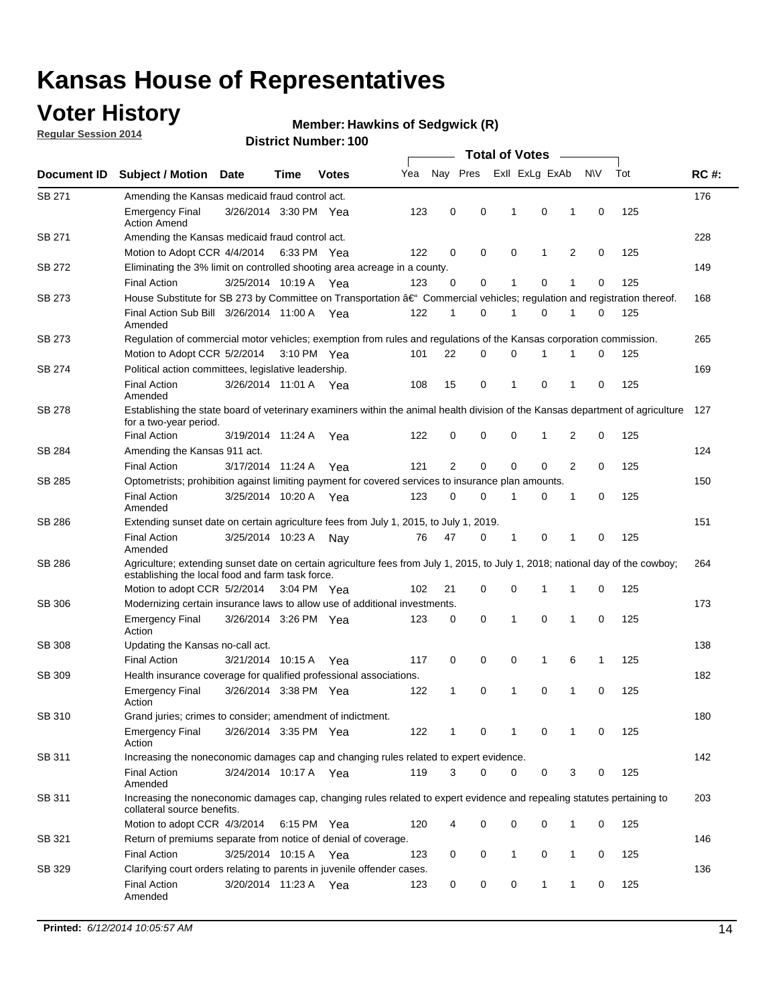### **Voter History**

**Regular Session 2014**

#### **Hawkins of Sedgwick (R)**

|               |                                                                                                                                                                                    |                       |      |              |     |                |             | <b>Total of Votes</b> |                |   |             |     |             |
|---------------|------------------------------------------------------------------------------------------------------------------------------------------------------------------------------------|-----------------------|------|--------------|-----|----------------|-------------|-----------------------|----------------|---|-------------|-----|-------------|
| Document ID   | <b>Subject / Motion Date</b>                                                                                                                                                       |                       | Time | <b>Votes</b> | Yea | Nay Pres       |             |                       | Exll ExLg ExAb |   | N\V         | Tot | <b>RC#:</b> |
| SB 271        | Amending the Kansas medicaid fraud control act.                                                                                                                                    |                       |      |              |     |                |             |                       |                |   |             |     | 176         |
|               | <b>Emergency Final</b><br><b>Action Amend</b>                                                                                                                                      | 3/26/2014 3:30 PM Yea |      |              | 123 | 0              | 0           | 1                     | 0              | 1 | $\mathbf 0$ | 125 |             |
| SB 271        | Amending the Kansas medicaid fraud control act.                                                                                                                                    |                       |      |              |     |                |             |                       |                |   |             |     | 228         |
|               | Motion to Adopt CCR 4/4/2014 6:33 PM Yea                                                                                                                                           |                       |      |              | 122 | 0              | 0           | 0                     | 1              | 2 | 0           | 125 |             |
| SB 272        | Eliminating the 3% limit on controlled shooting area acreage in a county.                                                                                                          |                       |      |              |     |                |             |                       |                |   |             |     | 149         |
|               | <b>Final Action</b>                                                                                                                                                                | 3/25/2014 10:19 A Yea |      |              | 123 | 0              | 0           | 1                     | 0              | 1 | $\mathbf 0$ | 125 |             |
| SB 273        | House Substitute for SB 273 by Committee on Transportation †Commercial vehicles; regulation and registration thereof.                                                              |                       |      |              |     |                |             |                       |                |   |             |     | 168         |
|               | Final Action Sub Bill 3/26/2014 11:00 A Yea<br>Amended                                                                                                                             |                       |      |              | 122 | 1              | 0           | 1                     | 0              | 1 | 0           | 125 |             |
| SB 273        | Regulation of commercial motor vehicles; exemption from rules and regulations of the Kansas corporation commission.                                                                |                       |      |              |     |                |             |                       |                |   |             |     | 265         |
|               | Motion to Adopt CCR 5/2/2014 3:10 PM Yea                                                                                                                                           |                       |      |              | 101 | 22             | 0           | 0                     | 1              | 1 | 0           | 125 |             |
| SB 274        | Political action committees, legislative leadership.                                                                                                                               |                       |      |              |     |                |             |                       |                |   |             |     | 169         |
|               | <b>Final Action</b><br>Amended                                                                                                                                                     | 3/26/2014 11:01 A Yea |      |              | 108 | 15             | 0           | -1                    | 0              | 1 | 0           | 125 |             |
| <b>SB 278</b> | Establishing the state board of veterinary examiners within the animal health division of the Kansas department of agriculture<br>for a two-year period.                           |                       |      |              |     |                |             |                       |                |   |             |     | 127         |
|               | <b>Final Action</b>                                                                                                                                                                | 3/19/2014 11:24 A     |      | Yea          | 122 | 0              | 0           | 0                     | 1              | 2 | 0           | 125 |             |
| SB 284        | Amending the Kansas 911 act.                                                                                                                                                       |                       |      |              |     |                |             |                       |                |   |             |     | 124         |
|               | <b>Final Action</b>                                                                                                                                                                | 3/17/2014 11:24 A     |      | Yea          | 121 | $\overline{2}$ | $\mathbf 0$ | $\mathbf 0$           | $\mathbf 0$    | 2 | 0           | 125 |             |
| SB 285        | Optometrists; prohibition against limiting payment for covered services to insurance plan amounts.                                                                                 |                       |      |              |     |                |             |                       |                |   |             |     | 150         |
|               | <b>Final Action</b><br>Amended                                                                                                                                                     | 3/25/2014 10:20 A     |      | Yea          | 123 | 0              | 0           | $\mathbf{1}$          | 0              | 1 | 0           | 125 |             |
| SB 286        | Extending sunset date on certain agriculture fees from July 1, 2015, to July 1, 2019.                                                                                              |                       |      |              |     |                |             |                       |                |   |             |     | 151         |
|               | <b>Final Action</b><br>Amended                                                                                                                                                     | 3/25/2014 10:23 A     |      | Nay          | 76  | 47             | 0           | $\mathbf{1}$          | 0              | 1 | 0           | 125 |             |
| SB 286        | Agriculture; extending sunset date on certain agriculture fees from July 1, 2015, to July 1, 2018; national day of the cowboy;<br>establishing the local food and farm task force. |                       |      |              |     |                |             |                       |                |   |             |     | 264         |
|               | Motion to adopt CCR 5/2/2014 3:04 PM Yea                                                                                                                                           |                       |      |              | 102 | 21             | 0           | 0                     | 1              | 1 | 0           | 125 |             |
| SB 306        | Modernizing certain insurance laws to allow use of additional investments.                                                                                                         |                       |      |              |     |                |             |                       |                |   |             |     | 173         |
|               | <b>Emergency Final</b><br>Action                                                                                                                                                   | 3/26/2014 3:26 PM Yea |      |              | 123 | 0              | 0           | 1                     | $\mathbf 0$    | 1 | 0           | 125 |             |
| <b>SB 308</b> | Updating the Kansas no-call act.                                                                                                                                                   |                       |      |              |     |                |             |                       |                |   |             |     | 138         |
|               | <b>Final Action</b>                                                                                                                                                                | 3/21/2014 10:15 A     |      | Yea          | 117 | 0              | 0           | 0                     | $\mathbf{1}$   | 6 | 1           | 125 |             |
| SB 309        | Health insurance coverage for qualified professional associations.                                                                                                                 |                       |      |              |     |                |             |                       |                |   |             |     | 182         |
|               | <b>Emergency Final</b><br>Action                                                                                                                                                   | 3/26/2014 3:38 PM Yea |      |              | 122 | 1              | 0           | 1                     | 0              | 1 | 0           | 125 |             |
| SB 310        | Grand juries; crimes to consider; amendment of indictment.                                                                                                                         |                       |      |              |     |                |             |                       |                |   |             |     | 180         |
|               | <b>Emergency Final</b><br>Action                                                                                                                                                   | 3/26/2014 3:35 PM Yea |      |              | 122 | 1              | 0           | 1                     | 0              | 1 | 0           | 125 |             |
| SB 311        | Increasing the noneconomic damages cap and changing rules related to expert evidence.                                                                                              |                       |      |              |     |                |             |                       |                |   |             |     | 142         |
|               | <b>Final Action</b><br>Amended                                                                                                                                                     | 3/24/2014 10:17 A Yea |      |              | 119 | 3              | $\Omega$    | 0                     | 0              | 3 | 0           | 125 |             |
| SB 311        | Increasing the noneconomic damages cap, changing rules related to expert evidence and repealing statutes pertaining to<br>collateral source benefits.                              |                       |      |              |     |                |             |                       |                |   |             |     | 203         |
|               | Motion to adopt CCR 4/3/2014 6:15 PM Yea                                                                                                                                           |                       |      |              | 120 | 4              | 0           | 0                     | 0              | 1 | 0           | 125 |             |
| SB 321        | Return of premiums separate from notice of denial of coverage.                                                                                                                     |                       |      |              |     |                |             |                       |                |   |             |     | 146         |
|               | <b>Final Action</b>                                                                                                                                                                | 3/25/2014 10:15 A Yea |      |              | 123 | 0              | 0           | 1                     | 0              | 1 | 0           | 125 |             |
| SB 329        | Clarifying court orders relating to parents in juvenile offender cases.<br><b>Final Action</b><br>Amended                                                                          | 3/20/2014 11:23 A Yea |      |              | 123 | 0              | 0           | 0                     | 1              | 1 | 0           | 125 | 136         |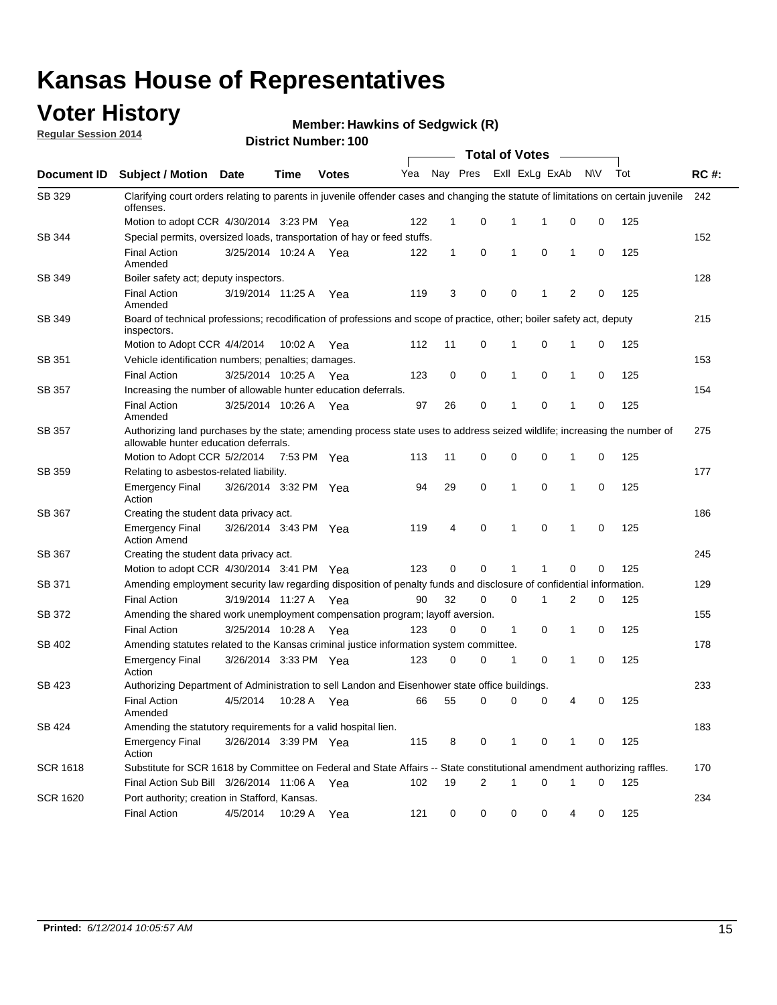### **Voter History**

**Regular Session 2014**

#### **Hawkins of Sedgwick (R)**

|                 |                                                                                                                                                                    |                       |             |              |     |              |                | <b>Total of Votes</b>   |             |              |           |     |             |
|-----------------|--------------------------------------------------------------------------------------------------------------------------------------------------------------------|-----------------------|-------------|--------------|-----|--------------|----------------|-------------------------|-------------|--------------|-----------|-----|-------------|
| Document ID     | <b>Subject / Motion Date</b>                                                                                                                                       |                       | Time        | <b>Votes</b> | Yea |              |                | Nay Pres ExII ExLg ExAb |             |              | <b>NV</b> | Tot | <b>RC#:</b> |
| SB 329          | Clarifying court orders relating to parents in juvenile offender cases and changing the statute of limitations on certain juvenile<br>offenses.                    |                       |             |              |     |              |                |                         |             |              |           |     | 242         |
|                 | Motion to adopt CCR 4/30/2014 3:23 PM Yea                                                                                                                          |                       |             |              | 122 | $\mathbf 1$  | 0              | 1                       | -1          | $\mathbf 0$  | 0         | 125 |             |
| SB 344          | Special permits, oversized loads, transportation of hay or feed stuffs.                                                                                            |                       |             |              |     |              |                |                         |             |              |           |     | 152         |
|                 | <b>Final Action</b><br>Amended                                                                                                                                     | 3/25/2014 10:24 A     |             | Yea          | 122 | $\mathbf{1}$ | 0              | 1                       | $\mathbf 0$ | $\mathbf{1}$ | 0         | 125 |             |
| SB 349          | Boiler safety act; deputy inspectors.                                                                                                                              |                       |             |              |     |              |                |                         |             |              |           |     | 128         |
|                 | <b>Final Action</b><br>Amended                                                                                                                                     | 3/19/2014 11:25 A     |             | Yea          | 119 | 3            | 0              | 0                       | 1           | 2            | 0         | 125 |             |
| <b>SB 349</b>   | Board of technical professions; recodification of professions and scope of practice, other; boiler safety act, deputy<br>inspectors.                               |                       |             |              |     |              |                |                         |             |              |           |     | 215         |
|                 | Motion to Adopt CCR 4/4/2014                                                                                                                                       |                       | 10:02 A     | Yea          | 112 | 11           | 0              | 1                       | 0           | 1            | 0         | 125 |             |
| SB 351          | Vehicle identification numbers; penalties; damages.                                                                                                                |                       |             |              |     |              |                |                         |             |              |           |     | 153         |
|                 | <b>Final Action</b>                                                                                                                                                | 3/25/2014 10:25 A     |             | Yea          | 123 | 0            | 0              | 1                       | 0           | 1            | 0         | 125 |             |
| <b>SB 357</b>   | Increasing the number of allowable hunter education deferrals.                                                                                                     |                       |             |              |     |              |                |                         |             |              |           |     | 154         |
|                 | <b>Final Action</b><br>Amended                                                                                                                                     | 3/25/2014 10:26 A     |             | Yea          | 97  | 26           | 0              | 1                       | 0           | 1            | 0         | 125 |             |
| SB 357          | Authorizing land purchases by the state; amending process state uses to address seized wildlife; increasing the number of<br>allowable hunter education deferrals. |                       |             |              |     |              |                |                         |             |              |           |     | 275         |
|                 | Motion to Adopt CCR 5/2/2014                                                                                                                                       |                       | 7:53 PM Yea |              | 113 | 11           | 0              | 0                       | 0           | 1            | 0         | 125 |             |
| SB 359          | Relating to asbestos-related liability.                                                                                                                            |                       |             |              |     |              |                |                         |             |              |           |     | 177         |
|                 | <b>Emergency Final</b><br>Action                                                                                                                                   | 3/26/2014 3:32 PM Yea |             |              | 94  | 29           | 0              | 1                       | 0           | 1            | 0         | 125 |             |
| SB 367          | Creating the student data privacy act.                                                                                                                             |                       |             |              |     |              |                |                         |             |              |           |     | 186         |
|                 | <b>Emergency Final</b><br><b>Action Amend</b>                                                                                                                      | 3/26/2014 3:43 PM Yea |             |              | 119 | 4            | 0              | 1                       | 0           | 1            | 0         | 125 |             |
| <b>SB 367</b>   | Creating the student data privacy act.                                                                                                                             |                       |             |              |     |              |                |                         |             |              |           |     | 245         |
|                 | Motion to adopt CCR 4/30/2014 3:41 PM Yea                                                                                                                          |                       |             |              | 123 | 0            | 0              | 1                       | 1           | 0            | 0         | 125 |             |
| SB 371          | Amending employment security law regarding disposition of penalty funds and disclosure of confidential information.                                                |                       |             |              |     |              |                |                         |             |              |           |     | 129         |
|                 | <b>Final Action</b>                                                                                                                                                | 3/19/2014 11:27 A Yea |             |              | 90  | 32           | 0              | $\mathbf 0$             | 1           | 2            | 0         | 125 |             |
| SB 372          | Amending the shared work unemployment compensation program; layoff aversion.                                                                                       |                       |             |              |     |              |                |                         |             |              |           |     | 155         |
|                 | <b>Final Action</b>                                                                                                                                                | 3/25/2014 10:28 A     |             | Yea          | 123 | 0            | 0              | $\mathbf{1}$            | 0           | 1            | 0         | 125 |             |
| SB 402          | Amending statutes related to the Kansas criminal justice information system committee.                                                                             |                       |             |              |     |              |                |                         |             |              |           |     | 178         |
|                 | <b>Emergency Final</b><br>Action                                                                                                                                   | 3/26/2014 3:33 PM Yea |             |              | 123 | 0            | 0              | 1                       | 0           | 1            | 0         | 125 |             |
| SB 423          | Authorizing Department of Administration to sell Landon and Eisenhower state office buildings.                                                                     |                       |             |              |     |              |                |                         |             |              |           |     | 233         |
|                 | <b>Final Action</b><br>Amended                                                                                                                                     | 4/5/2014              | 10:28 A     | Yea          | 66  | 55           | 0              | 0                       | 0           | 4            | 0         | 125 |             |
| SB 424          | Amending the statutory requirements for a valid hospital lien.                                                                                                     |                       |             |              |     |              |                |                         |             |              |           |     | 183         |
|                 | <b>Emergency Final</b><br>Action                                                                                                                                   | 3/26/2014 3:39 PM Yea |             |              | 115 | 8            | 0              | 1                       | 0           | 1            | 0         | 125 |             |
| <b>SCR 1618</b> | Substitute for SCR 1618 by Committee on Federal and State Affairs -- State constitutional amendment authorizing raffles.                                           |                       |             |              |     |              |                |                         |             |              |           |     | 170         |
|                 | Final Action Sub Bill 3/26/2014 11:06 A Yea                                                                                                                        |                       |             |              | 102 | 19           | $\overline{2}$ | 1                       | 0           | 1            | 0         | 125 |             |
| <b>SCR 1620</b> | Port authority; creation in Stafford, Kansas.                                                                                                                      |                       |             |              |     |              |                |                         |             |              |           |     | 234         |
|                 | <b>Final Action</b>                                                                                                                                                | 4/5/2014              | 10:29 A Yea |              | 121 | 0            | 0              | 0                       | 0           | 4            | 0         | 125 |             |